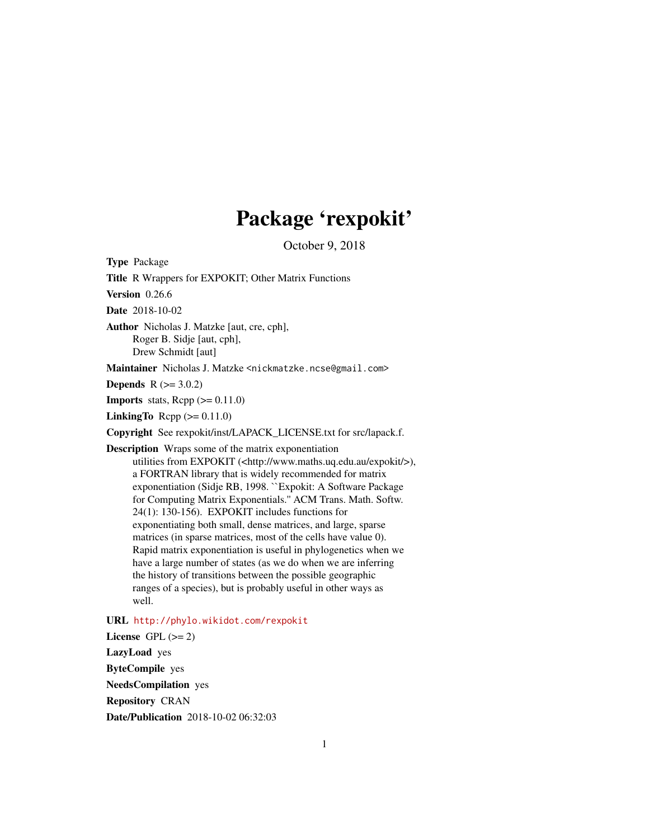# Package 'rexpokit'

October 9, 2018

<span id="page-0-0"></span>Type Package

Title R Wrappers for EXPOKIT; Other Matrix Functions

Version 0.26.6

Date 2018-10-02

Author Nicholas J. Matzke [aut, cre, cph], Roger B. Sidje [aut, cph], Drew Schmidt [aut]

Maintainer Nicholas J. Matzke <nickmatzke.ncse@gmail.com>

**Depends** R  $(>= 3.0.2)$ 

**Imports** stats,  $\text{Rcpp} (> = 0.11.0)$ 

**LinkingTo** Rcpp  $(>= 0.11.0)$ 

Copyright See rexpokit/inst/LAPACK\_LICENSE.txt for src/lapack.f.

Description Wraps some of the matrix exponentiation utilities from EXPOKIT (<http://www.maths.uq.edu.au/expokit/>), a FORTRAN library that is widely recommended for matrix exponentiation (Sidje RB, 1998. ``Expokit: A Software Package for Computing Matrix Exponentials.'' ACM Trans. Math. Softw. 24(1): 130-156). EXPOKIT includes functions for exponentiating both small, dense matrices, and large, sparse matrices (in sparse matrices, most of the cells have value 0). Rapid matrix exponentiation is useful in phylogenetics when we have a large number of states (as we do when we are inferring the history of transitions between the possible geographic ranges of a species), but is probably useful in other ways as well.

URL <http://phylo.wikidot.com/rexpokit>

License GPL  $(>= 2)$ LazyLoad yes ByteCompile yes NeedsCompilation yes Repository CRAN

Date/Publication 2018-10-02 06:32:03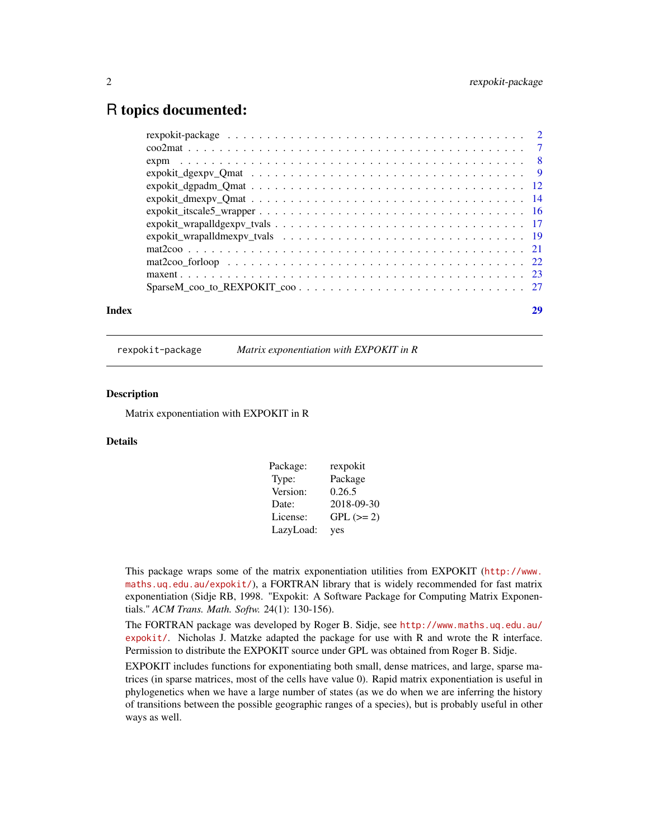## <span id="page-1-0"></span>R topics documented:

| Index | 29 |
|-------|----|
|       |    |

rexpokit-package *Matrix exponentiation with EXPOKIT in R*

#### **Description**

Matrix exponentiation with EXPOKIT in R

#### Details

| Package:  | rexpokit    |
|-----------|-------------|
| Type:     | Package     |
| Version:  | 0.26.5      |
| Date:     | 2018-09-30  |
| License:  | $GPL (= 2)$ |
| LazyLoad: | yes         |

This package wraps some of the matrix exponentiation utilities from EXPOKIT ([http://www.](http://www.maths.uq.edu.au/expokit/) [maths.uq.edu.au/expokit/](http://www.maths.uq.edu.au/expokit/)), a FORTRAN library that is widely recommended for fast matrix exponentiation (Sidje RB, 1998. "Expokit: A Software Package for Computing Matrix Exponentials." *ACM Trans. Math. Softw.* 24(1): 130-156).

The FORTRAN package was developed by Roger B. Sidje, see [http://www.maths.uq.edu.au/](http://www.maths.uq.edu.au/expokit/) [expokit/](http://www.maths.uq.edu.au/expokit/). Nicholas J. Matzke adapted the package for use with R and wrote the R interface. Permission to distribute the EXPOKIT source under GPL was obtained from Roger B. Sidje.

EXPOKIT includes functions for exponentiating both small, dense matrices, and large, sparse matrices (in sparse matrices, most of the cells have value 0). Rapid matrix exponentiation is useful in phylogenetics when we have a large number of states (as we do when we are inferring the history of transitions between the possible geographic ranges of a species), but is probably useful in other ways as well.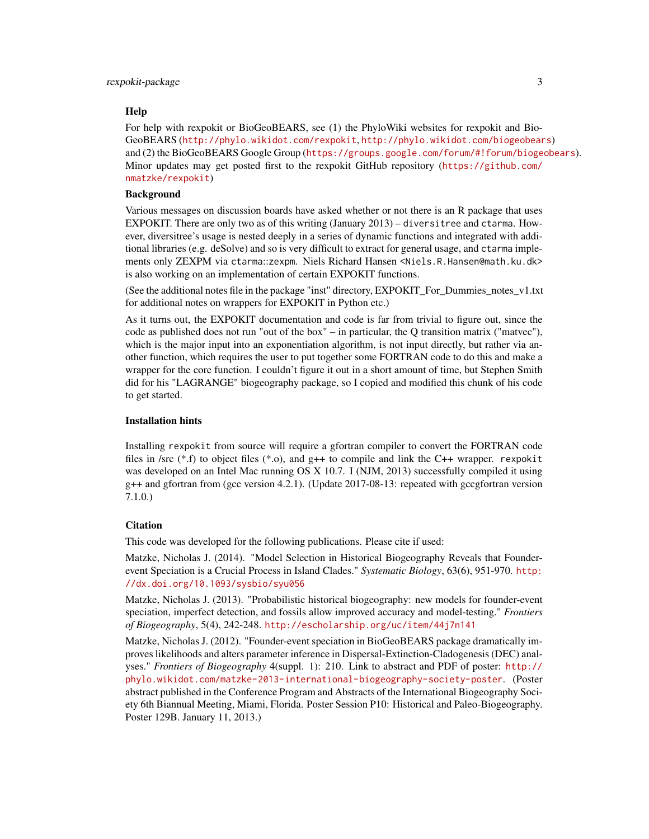#### Help

For help with rexpokit or BioGeoBEARS, see (1) the PhyloWiki websites for rexpokit and Bio-GeoBEARS (<http://phylo.wikidot.com/rexpokit>, <http://phylo.wikidot.com/biogeobears>) and (2) the BioGeoBEARS Google Group (<https://groups.google.com/forum/#!forum/biogeobears>). Minor updates may get posted first to the rexpokit GitHub repository ([https://github.com/](https://github.com/nmatzke/rexpokit) [nmatzke/rexpokit](https://github.com/nmatzke/rexpokit))

### Background

Various messages on discussion boards have asked whether or not there is an R package that uses EXPOKIT. There are only two as of this writing (January 2013) – diversitree and ctarma. However, diversitree's usage is nested deeply in a series of dynamic functions and integrated with additional libraries (e.g. deSolve) and so is very difficult to extract for general usage, and ctarma implements only ZEXPM via ctarma::zexpm. Niels Richard Hansen <Niels.R.Hansen@math.ku.dk> is also working on an implementation of certain EXPOKIT functions.

(See the additional notes file in the package "inst" directory, EXPOKIT\_For\_Dummies\_notes\_v1.txt for additional notes on wrappers for EXPOKIT in Python etc.)

As it turns out, the EXPOKIT documentation and code is far from trivial to figure out, since the code as published does not run "out of the box" – in particular, the  $Q$  transition matrix ("matvec"), which is the major input into an exponentiation algorithm, is not input directly, but rather via another function, which requires the user to put together some FORTRAN code to do this and make a wrapper for the core function. I couldn't figure it out in a short amount of time, but Stephen Smith did for his "LAGRANGE" biogeography package, so I copied and modified this chunk of his code to get started.

#### Installation hints

Installing rexpokit from source will require a gfortran compiler to convert the FORTRAN code files in /src  $(*.f)$  to object files  $(*.o)$ , and  $g++$  to compile and link the C++ wrapper. rexpokit was developed on an Intel Mac running OS X 10.7. I (NJM, 2013) successfully compiled it using g++ and gfortran from (gcc version 4.2.1). (Update 2017-08-13: repeated with gccgfortran version 7.1.0.)

### **Citation**

This code was developed for the following publications. Please cite if used:

Matzke, Nicholas J. (2014). "Model Selection in Historical Biogeography Reveals that Founderevent Speciation is a Crucial Process in Island Clades." *Systematic Biology*, 63(6), 951-970. [http:](http://dx.doi.org/10.1093/sysbio/syu056) [//dx.doi.org/10.1093/sysbio/syu056](http://dx.doi.org/10.1093/sysbio/syu056)

Matzke, Nicholas J. (2013). "Probabilistic historical biogeography: new models for founder-event speciation, imperfect detection, and fossils allow improved accuracy and model-testing." *Frontiers of Biogeography*, 5(4), 242-248. <http://escholarship.org/uc/item/44j7n141>

Matzke, Nicholas J. (2012). "Founder-event speciation in BioGeoBEARS package dramatically improves likelihoods and alters parameter inference in Dispersal-Extinction-Cladogenesis (DEC) analyses." *Frontiers of Biogeography* 4(suppl. 1): 210. Link to abstract and PDF of poster: [http://](http://phylo.wikidot.com/matzke-2013-international-biogeography-society-poster) [phylo.wikidot.com/matzke-2013-international-biogeography-society-poster](http://phylo.wikidot.com/matzke-2013-international-biogeography-society-poster). (Poster abstract published in the Conference Program and Abstracts of the International Biogeography Society 6th Biannual Meeting, Miami, Florida. Poster Session P10: Historical and Paleo-Biogeography. Poster 129B. January 11, 2013.)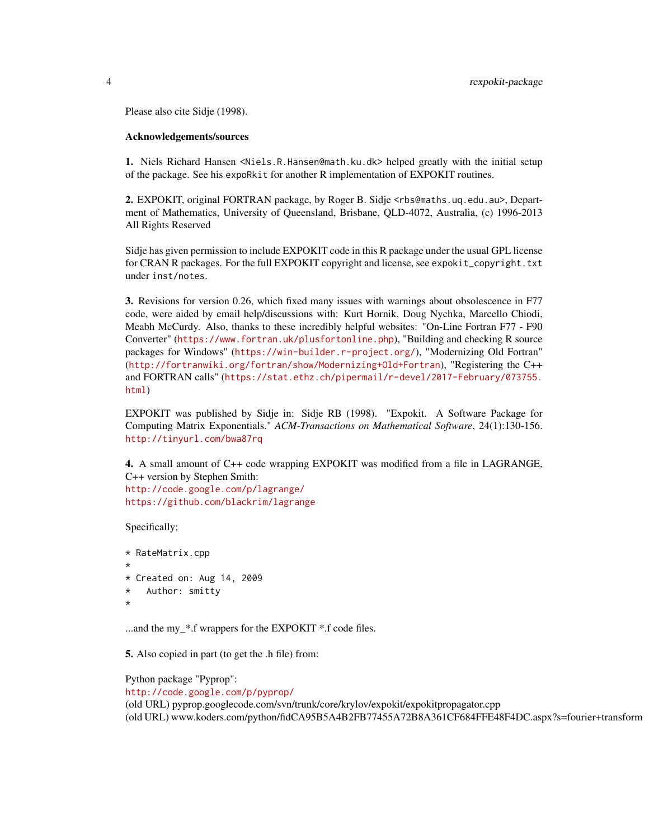Please also cite Sidje (1998).

#### Acknowledgements/sources

1. Niels Richard Hansen <Niels.R.Hansen@math.ku.dk> helped greatly with the initial setup of the package. See his expoRkit for another R implementation of EXPOKIT routines.

2. EXPOKIT, original FORTRAN package, by Roger B. Sidje <rbs@maths.uq.edu.au>, Department of Mathematics, University of Queensland, Brisbane, QLD-4072, Australia, (c) 1996-2013 All Rights Reserved

Sidje has given permission to include EXPOKIT code in this R package under the usual GPL license for CRAN R packages. For the full EXPOKIT copyright and license, see expokit\_copyright.txt under inst/notes.

3. Revisions for version 0.26, which fixed many issues with warnings about obsolescence in F77 code, were aided by email help/discussions with: Kurt Hornik, Doug Nychka, Marcello Chiodi, Meabh McCurdy. Also, thanks to these incredibly helpful websites: "On-Line Fortran F77 - F90 Converter" (<https://www.fortran.uk/plusfortonline.php>), "Building and checking R source packages for Windows" (<https://win-builder.r-project.org/>), "Modernizing Old Fortran" (<http://fortranwiki.org/fortran/show/Modernizing+Old+Fortran>), "Registering the C++ and FORTRAN calls" ([https://stat.ethz.ch/pipermail/r-devel/2017-February/073755.](https://stat.ethz.ch/pipermail/r-devel/2017-February/073755.html) [html](https://stat.ethz.ch/pipermail/r-devel/2017-February/073755.html))

EXPOKIT was published by Sidje in: Sidje RB (1998). "Expokit. A Software Package for Computing Matrix Exponentials." *ACM-Transactions on Mathematical Software*, 24(1):130-156. <http://tinyurl.com/bwa87rq>

4. A small amount of C++ code wrapping EXPOKIT was modified from a file in LAGRANGE, C++ version by Stephen Smith: <http://code.google.com/p/lagrange/> <https://github.com/blackrim/lagrange>

Specifically:

```
* RateMatrix.cpp
*
* Created on: Aug 14, 2009
* Author: smitty
*
```
...and the my\_\*.f wrappers for the EXPOKIT \*.f code files.

5. Also copied in part (to get the .h file) from:

Python package "Pyprop": <http://code.google.com/p/pyprop/> (old URL) pyprop.googlecode.com/svn/trunk/core/krylov/expokit/expokitpropagator.cpp (old URL) www.koders.com/python/fidCA95B5A4B2FB77455A72B8A361CF684FFE48F4DC.aspx?s=fourier+transform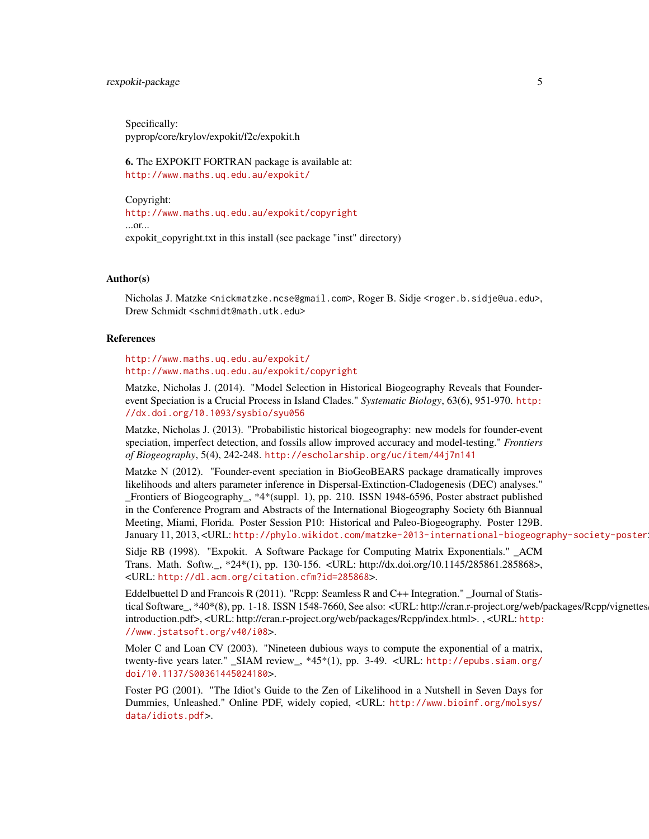### rexpokit-package 5

Specifically: pyprop/core/krylov/expokit/f2c/expokit.h

6. The EXPOKIT FORTRAN package is available at: <http://www.maths.uq.edu.au/expokit/>

Copyright: <http://www.maths.uq.edu.au/expokit/copyright> ...or... expokit\_copyright.txt in this install (see package "inst" directory)

#### Author(s)

Nicholas J. Matzke <nickmatzke.ncse@gmail.com>, Roger B. Sidje <roger.b.sidje@ua.edu>, Drew Schmidt <schmidt@math.utk.edu>

### References

<http://www.maths.uq.edu.au/expokit/> <http://www.maths.uq.edu.au/expokit/copyright>

Matzke, Nicholas J. (2014). "Model Selection in Historical Biogeography Reveals that Founderevent Speciation is a Crucial Process in Island Clades." *Systematic Biology*, 63(6), 951-970. [http:](http://dx.doi.org/10.1093/sysbio/syu056) [//dx.doi.org/10.1093/sysbio/syu056](http://dx.doi.org/10.1093/sysbio/syu056)

Matzke, Nicholas J. (2013). "Probabilistic historical biogeography: new models for founder-event speciation, imperfect detection, and fossils allow improved accuracy and model-testing." *Frontiers of Biogeography*, 5(4), 242-248. <http://escholarship.org/uc/item/44j7n141>

Matzke N (2012). "Founder-event speciation in BioGeoBEARS package dramatically improves likelihoods and alters parameter inference in Dispersal-Extinction-Cladogenesis (DEC) analyses." Frontiers of Biogeography, \*4\*(suppl. 1), pp. 210. ISSN 1948-6596, Poster abstract published in the Conference Program and Abstracts of the International Biogeography Society 6th Biannual Meeting, Miami, Florida. Poster Session P10: Historical and Paleo-Biogeography. Poster 129B. January 11, 2013, <URL: <http://phylo.wikidot.com/matzke-2013-international-biogeography-society-poster>>.

Sidje RB (1998). "Expokit. A Software Package for Computing Matrix Exponentials." \_ACM Trans. Math. Softw.\_, \*24\*(1), pp. 130-156. <URL: http://dx.doi.org/10.1145/285861.285868>, <URL: <http://dl.acm.org/citation.cfm?id=285868>>.

Eddelbuettel D and Francois R (2011). "Rcpp: Seamless R and C++ Integration." \_Journal of Statistical Software<sub>,</sub> \*40\*(8), pp. 1-18. ISSN 1548-7660, See also: <URL: http://cran.r-project.org/web/packages/Rcpp/vignettes introduction.pdf>, <URL: http://cran.r-project.org/web/packages/Rcpp/index.html>. , <URL: [http:](http://www.jstatsoft.org/v40/i08) [//www.jstatsoft.org/v40/i08](http://www.jstatsoft.org/v40/i08)>.

Moler C and Loan CV (2003). "Nineteen dubious ways to compute the exponential of a matrix, twenty-five years later." \_SIAM review\_, \*45\*(1), pp. 3-49. <URL: [http://epubs.siam.org/](http://epubs.siam.org/doi/10.1137/S00361445024180) [doi/10.1137/S00361445024180](http://epubs.siam.org/doi/10.1137/S00361445024180)>.

Foster PG (2001). "The Idiot's Guide to the Zen of Likelihood in a Nutshell in Seven Days for Dummies, Unleashed." Online PDF, widely copied, <URL: [http://www.bioinf.org/molsys/](http://www.bioinf.org/molsys/data/idiots.pdf) [data/idiots.pdf](http://www.bioinf.org/molsys/data/idiots.pdf)>.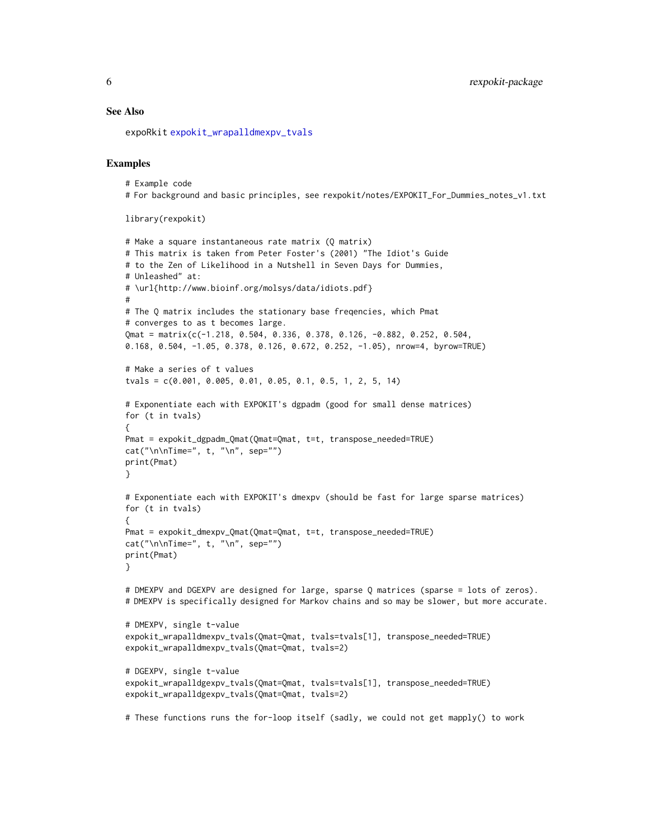#### <span id="page-5-0"></span>See Also

expoRkit [expokit\\_wrapalldmexpv\\_tvals](#page-18-1)

### Examples

# Example code # For background and basic principles, see rexpokit/notes/EXPOKIT\_For\_Dummies\_notes\_v1.txt

```
library(rexpokit)
```

```
# Make a square instantaneous rate matrix (Q matrix)
# This matrix is taken from Peter Foster's (2001) "The Idiot's Guide
# to the Zen of Likelihood in a Nutshell in Seven Days for Dummies,
# Unleashed" at:
# \url{http://www.bioinf.org/molsys/data/idiots.pdf}
#
# The Q matrix includes the stationary base freqencies, which Pmat
# converges to as t becomes large.
Qmat = matrix(c(-1.218, 0.504, 0.336, 0.378, 0.126, -0.882, 0.252, 0.504,
0.168, 0.504, -1.05, 0.378, 0.126, 0.672, 0.252, -1.05), nrow=4, byrow=TRUE)
# Make a series of t values
tvals = c(0.001, 0.005, 0.01, 0.05, 0.1, 0.5, 1, 2, 5, 14)
# Exponentiate each with EXPOKIT's dgpadm (good for small dense matrices)
for (t in tvals)
{
Pmat = expokit_dgpadm_Qmat(Qmat=Qmat, t=t, transpose_needed=TRUE)
cat("\n\cdot\cdot\cdot", t, "\n", sep="")
print(Pmat)
}
# Exponentiate each with EXPOKIT's dmexpv (should be fast for large sparse matrices)
for (t in tvals)
{
Pmat = expokit_dmexpv_Qmat(Qmat=Qmat, t=t, transpose_needed=TRUE)
cat("\\n\\nTime=", t, "\\n", sep="")print(Pmat)
}
# DMEXPV and DGEXPV are designed for large, sparse Q matrices (sparse = lots of zeros).
# DMEXPV is specifically designed for Markov chains and so may be slower, but more accurate.
# DMEXPV, single t-value
expokit_wrapalldmexpv_tvals(Qmat=Qmat, tvals=tvals[1], transpose_needed=TRUE)
expokit_wrapalldmexpv_tvals(Qmat=Qmat, tvals=2)
# DGEXPV, single t-value
expokit_wrapalldgexpv_tvals(Qmat=Qmat, tvals=tvals[1], transpose_needed=TRUE)
expokit_wrapalldgexpv_tvals(Qmat=Qmat, tvals=2)
# These functions runs the for-loop itself (sadly, we could not get mapply() to work
```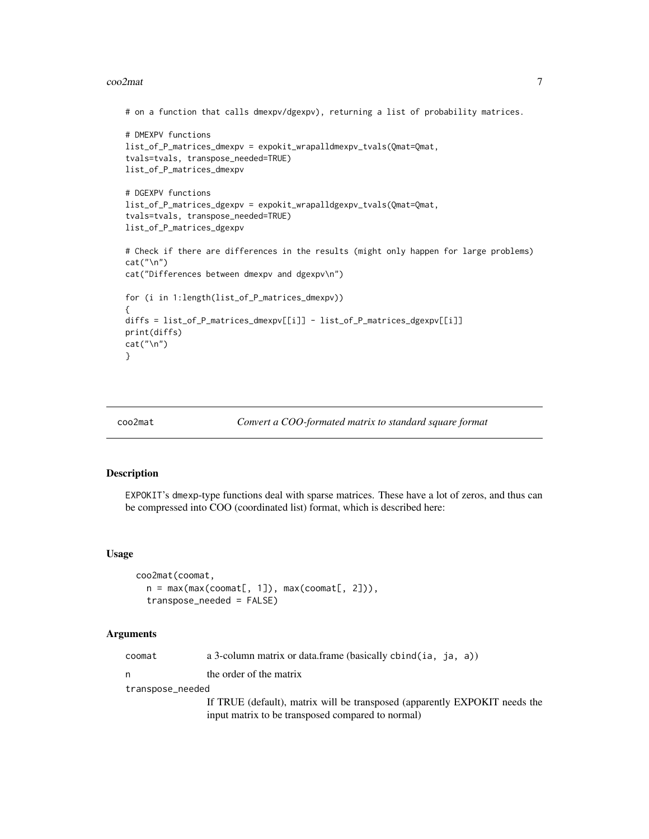#### <span id="page-6-0"></span> $\sim$   $\sim$  7

```
# on a function that calls dmexpv/dgexpv), returning a list of probability matrices.
# DMEXPV functions
list_of_P_matrices_dmexpv = expokit_wrapalldmexpv_tvals(Qmat=Qmat,
tvals=tvals, transpose_needed=TRUE)
list_of_P_matrices_dmexpv
# DGEXPV functions
list_of_P_matrices_dgexpv = expokit_wrapalldgexpv_tvals(Qmat=Qmat,
tvals=tvals, transpose_needed=TRUE)
list_of_P_matrices_dgexpv
# Check if there are differences in the results (might only happen for large problems)
cat("\n")
cat("Differences between dmexpv and dgexpv\n")
for (i in 1:length(list_of_P_matrices_dmexpv))
{
diffs = list_of_P_matrices_dmexpv[[i]] - list_of_P_matrices_dgexpv[[i]]
print(diffs)
cat("\n")
}
```
#### coo2mat *Convert a COO-formated matrix to standard square format*

### Description

EXPOKIT's dmexp-type functions deal with sparse matrices. These have a lot of zeros, and thus can be compressed into COO (coordinated list) format, which is described here:

#### Usage

```
coo2mat(coomat,
 n = max(max(coomat[, 1]), max(coomat[, 2]),
 transpose_needed = FALSE)
```
#### Arguments

| coomat | a 3-column matrix or data.frame (basically cbind(ia, ja, a)) |  |  |  |  |  |  |  |  |
|--------|--------------------------------------------------------------|--|--|--|--|--|--|--|--|
|--------|--------------------------------------------------------------|--|--|--|--|--|--|--|--|

n the order of the matrix

transpose\_needed

If TRUE (default), matrix will be transposed (apparently EXPOKIT needs the input matrix to be transposed compared to normal)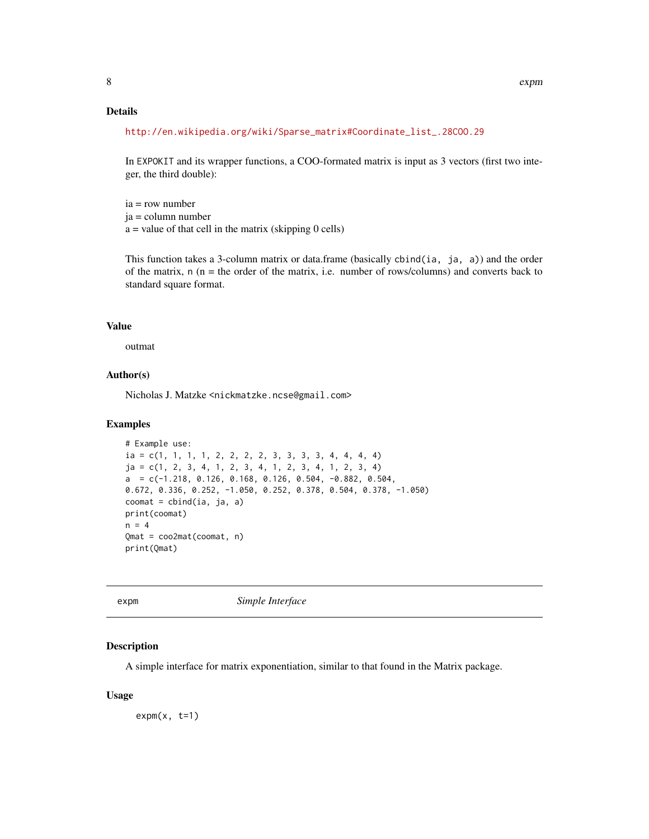### <span id="page-7-0"></span>Details

```
http://en.wikipedia.org/wiki/Sparse_matrix#Coordinate_list_.28COO.29
```
In EXPOKIT and its wrapper functions, a COO-formated matrix is input as 3 vectors (first two integer, the third double):

ia = row number ja = column number  $a =$  value of that cell in the matrix (skipping 0 cells)

This function takes a 3-column matrix or data.frame (basically cbind(ia, ja, a)) and the order of the matrix,  $n(n =$  the order of the matrix, i.e. number of rows/columns) and converts back to standard square format.

### Value

outmat

### Author(s)

Nicholas J. Matzke <nickmatzke.ncse@gmail.com>

#### Examples

```
# Example use:
ia = c(1, 1, 1, 1, 2, 2, 2, 2, 3, 3, 3, 4, 4, 4, 4)ja = c(1, 2, 3, 4, 1, 2, 3, 4, 1, 2, 3, 4, 1, 2, 3, 4)
a = c(-1.218, 0.126, 0.168, 0.126, 0.504, -0.882, 0.504,0.672, 0.336, 0.252, -1.050, 0.252, 0.378, 0.504, 0.378, -1.050)
coomat = cbind(ia, ja, a)
print(coomat)
n = 4Qmat = coo2mat(coomat, n)
print(Qmat)
```
expm *Simple Interface*

### Description

A simple interface for matrix exponentiation, similar to that found in the Matrix package.

#### Usage

 $expm(x, t=1)$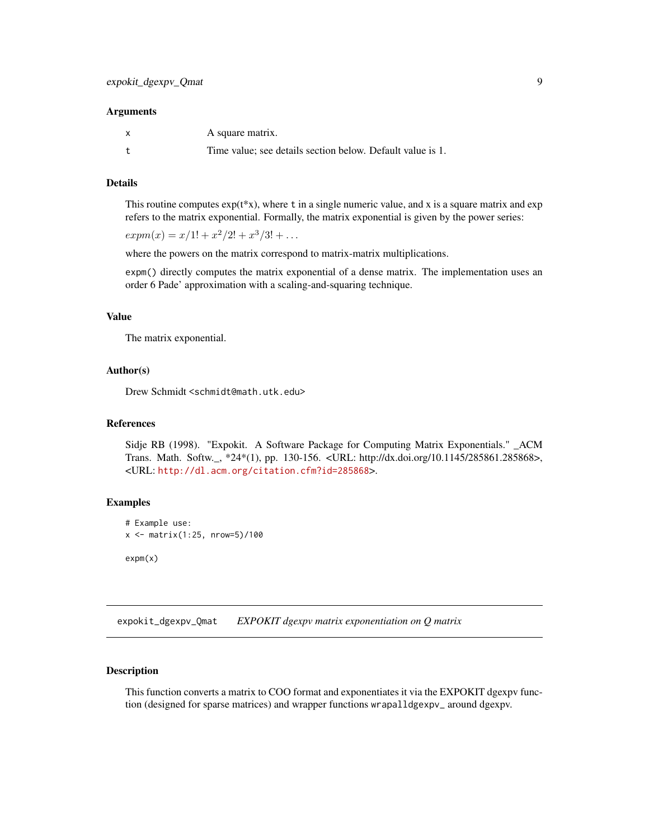#### <span id="page-8-0"></span>**Arguments**

| A square matrix.                                           |
|------------------------------------------------------------|
| Time value; see details section below. Default value is 1. |

### Details

This routine computes  $exp(t * x)$ , where t in a single numeric value, and x is a square matrix and  $exp(t * x)$ . refers to the matrix exponential. Formally, the matrix exponential is given by the power series:

 $expm(x) = x/1! + x^2/2! + x^3/3! + ...$ 

where the powers on the matrix correspond to matrix-matrix multiplications.

expm() directly computes the matrix exponential of a dense matrix. The implementation uses an order 6 Pade' approximation with a scaling-and-squaring technique.

### Value

The matrix exponential.

### Author(s)

Drew Schmidt <schmidt@math.utk.edu>

#### References

Sidje RB (1998). "Expokit. A Software Package for Computing Matrix Exponentials." \_ACM Trans. Math. Softw.\_, \*24\*(1), pp. 130-156. <URL: http://dx.doi.org/10.1145/285861.285868>, <URL: <http://dl.acm.org/citation.cfm?id=285868>>.

#### Examples

```
# Example use:
x <- matrix(1:25, nrow=5)/100
```
expm(x)

<span id="page-8-1"></span>expokit\_dgexpv\_Qmat *EXPOKIT dgexpv matrix exponentiation on Q matrix*

#### Description

This function converts a matrix to COO format and exponentiates it via the EXPOKIT dgexpv function (designed for sparse matrices) and wrapper functions wrapalldgexpv\_ around dgexpv.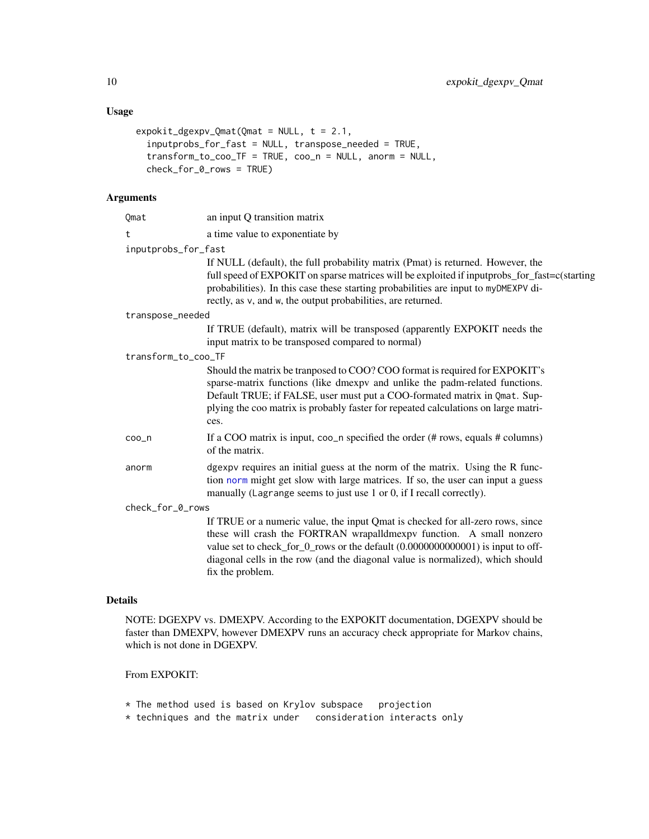## <span id="page-9-0"></span>Usage

```
expokit_dgexpv_Qmat(Qmat = NULL, t = 2.1,
 inputprobs_for_fast = NULL, transpose_needed = TRUE,
 transform_to_coo_TF = TRUE, coo_n = NULL, anorm = NULL,
 check_for_0_rows = TRUE)
```
### Arguments

| Qmat                | an input Q transition matrix                                                                                                                                                                                                                                                                                                                    |
|---------------------|-------------------------------------------------------------------------------------------------------------------------------------------------------------------------------------------------------------------------------------------------------------------------------------------------------------------------------------------------|
| t                   | a time value to exponentiate by                                                                                                                                                                                                                                                                                                                 |
| inputprobs_for_fast |                                                                                                                                                                                                                                                                                                                                                 |
|                     | If NULL (default), the full probability matrix (Pmat) is returned. However, the<br>full speed of EXPOKIT on sparse matrices will be exploited if inputprobs_for_fast=c(starting<br>probabilities). In this case these starting probabilities are input to myDMEXPV di-<br>rectly, as v, and w, the output probabilities, are returned.          |
| transpose_needed    |                                                                                                                                                                                                                                                                                                                                                 |
|                     | If TRUE (default), matrix will be transposed (apparently EXPOKIT needs the<br>input matrix to be transposed compared to normal)                                                                                                                                                                                                                 |
| transform_to_coo_TF |                                                                                                                                                                                                                                                                                                                                                 |
|                     | Should the matrix be transposed to COO? COO format is required for EXPOKIT's<br>sparse-matrix functions (like dmexpv and unlike the padm-related functions.<br>Default TRUE; if FALSE, user must put a COO-formated matrix in Qmat. Sup-<br>plying the coo matrix is probably faster for repeated calculations on large matri-<br>ces.          |
| coo_n               | If a COO matrix is input, $\cos_2 n$ specified the order (# rows, equals # columns)<br>of the matrix.                                                                                                                                                                                                                                           |
| anorm               | dgexpv requires an initial guess at the norm of the matrix. Using the R func-<br>tion norm might get slow with large matrices. If so, the user can input a guess<br>manually (Lagrange seems to just use 1 or 0, if I recall correctly).                                                                                                        |
| check_for_0_rows    |                                                                                                                                                                                                                                                                                                                                                 |
|                     | If TRUE or a numeric value, the input Qmat is checked for all-zero rows, since<br>these will crash the FORTRAN wrapalldmexpv function. A small nonzero<br>value set to check_for_0_rows or the default (0.0000000000001) is input to off-<br>diagonal cells in the row (and the diagonal value is normalized), which should<br>fix the problem. |
|                     |                                                                                                                                                                                                                                                                                                                                                 |

### Details

NOTE: DGEXPV vs. DMEXPV. According to the EXPOKIT documentation, DGEXPV should be faster than DMEXPV, however DMEXPV runs an accuracy check appropriate for Markov chains, which is not done in DGEXPV.

### From EXPOKIT:

- \* The method used is based on Krylov subspace projection
- \* techniques and the matrix under consideration interacts only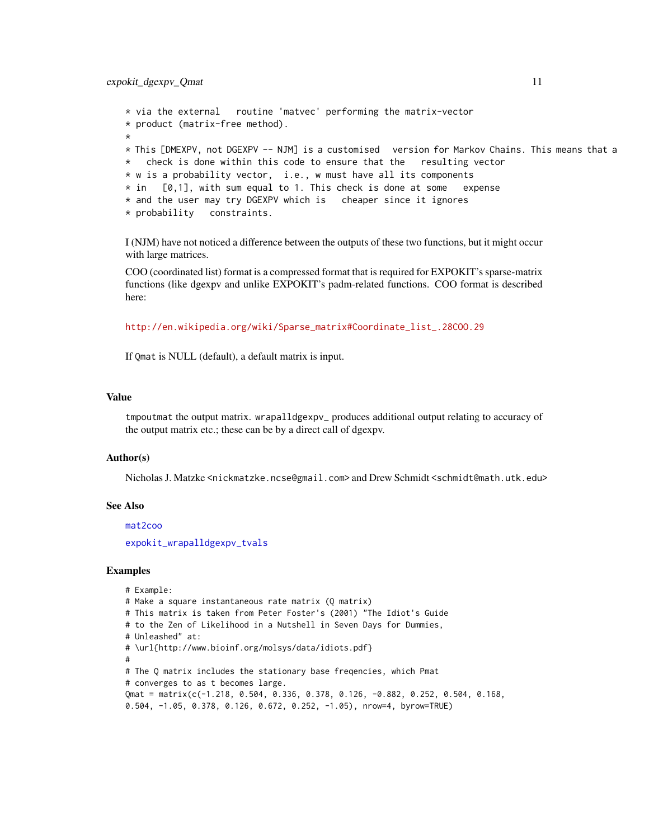```
* via the external routine 'matvec' performing the matrix-vector
* product (matrix-free method).
*
* This [DMEXPV, not DGEXPV -- NJM] is a customised version for Markov Chains. This means that a
   check is done within this code to ensure that the resulting vector
* w is a probability vector, i.e., w must have all its components
* in [0,1], with sum equal to 1. This check is done at some expense
* and the user may try DGEXPV which is cheaper since it ignores
* probability constraints.
```
I (NJM) have not noticed a difference between the outputs of these two functions, but it might occur with large matrices.

COO (coordinated list) format is a compressed format that is required for EXPOKIT's sparse-matrix functions (like dgexpv and unlike EXPOKIT's padm-related functions. COO format is described here:

[http://en.wikipedia.org/wiki/Sparse\\_matrix#Coordinate\\_list\\_.28COO.29](http://en.wikipedia.org/wiki/Sparse_matrix#Coordinate_list_.28COO.29)

If Qmat is NULL (default), a default matrix is input.

#### Value

tmpoutmat the output matrix. wrapalldgexpv\_ produces additional output relating to accuracy of the output matrix etc.; these can be by a direct call of dgexpv.

#### Author(s)

Nicholas J. Matzke <nickmatzke.ncse@gmail.com> and Drew Schmidt <schmidt@math.utk.edu>

#### See Also

[mat2coo](#page-20-1) [expokit\\_wrapalldgexpv\\_tvals](#page-16-1)

#### Examples

```
# Example:
# Make a square instantaneous rate matrix (Q matrix)
# This matrix is taken from Peter Foster's (2001) "The Idiot's Guide
# to the Zen of Likelihood in a Nutshell in Seven Days for Dummies,
# Unleashed" at:
# \url{http://www.bioinf.org/molsys/data/idiots.pdf}
#
# The Q matrix includes the stationary base freqencies, which Pmat
# converges to as t becomes large.
Qmat = matrix(c(-1.218, 0.504, 0.336, 0.378, 0.126, -0.882, 0.252, 0.504, 0.168,
0.504, -1.05, 0.378, 0.126, 0.672, 0.252, -1.05), nrow=4, byrow=TRUE)
```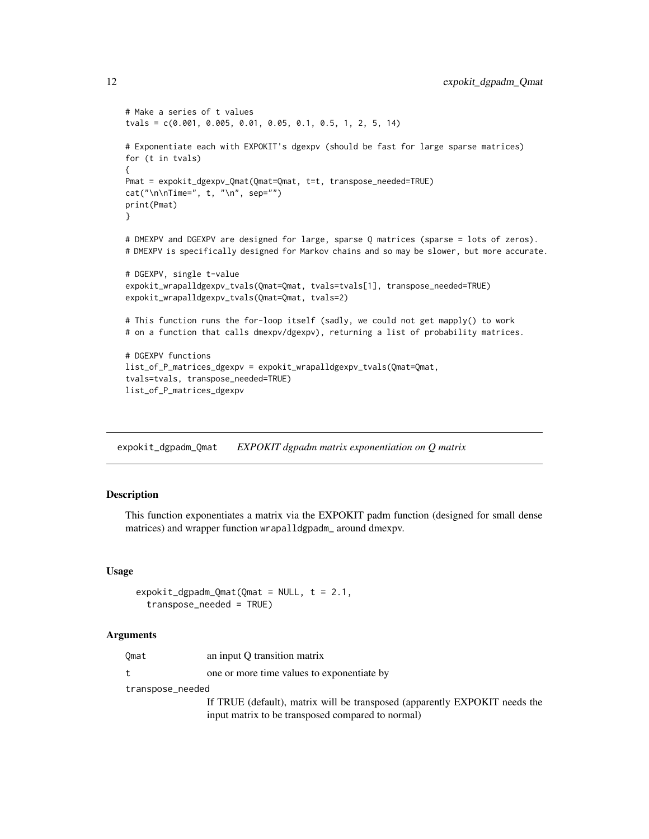```
# Make a series of t values
tvals = c(0.001, 0.005, 0.01, 0.05, 0.1, 0.5, 1, 2, 5, 14)
# Exponentiate each with EXPOKIT's dgexpv (should be fast for large sparse matrices)
for (t in tvals)
{
Pmat = expokit_dgexpv_Qmat(Qmat=Qmat, t=t, transpose_needed=TRUE)
cat("\\n\\nTime=", t, "\\n", sep="")print(Pmat)
}
# DMEXPV and DGEXPV are designed for large, sparse Q matrices (sparse = lots of zeros).
# DMEXPV is specifically designed for Markov chains and so may be slower, but more accurate.
# DGEXPV, single t-value
expokit_wrapalldgexpv_tvals(Qmat=Qmat, tvals=tvals[1], transpose_needed=TRUE)
expokit_wrapalldgexpv_tvals(Qmat=Qmat, tvals=2)
# This function runs the for-loop itself (sadly, we could not get mapply() to work
# on a function that calls dmexpv/dgexpv), returning a list of probability matrices.
# DGEXPV functions
list_of_P_matrices_dgexpv = expokit_wrapalldgexpv_tvals(Qmat=Qmat,
tvals=tvals, transpose_needed=TRUE)
list_of_P_matrices_dgexpv
```
expokit\_dgpadm\_Qmat *EXPOKIT dgpadm matrix exponentiation on Q matrix*

### Description

This function exponentiates a matrix via the EXPOKIT padm function (designed for small dense matrices) and wrapper function wrapalldgpadm\_ around dmexpv.

### Usage

```
expokit_dgpadm_Qmat(Qmat = NULL, t = 2.1,
  transpose_needed = TRUE)
```
#### Arguments

| Omat             | an input O transition matrix                                                                                                    |
|------------------|---------------------------------------------------------------------------------------------------------------------------------|
|                  | one or more time values to exponentiate by                                                                                      |
| transpose_needed |                                                                                                                                 |
|                  | If TRUE (default), matrix will be transposed (apparently EXPOKIT needs the<br>input matrix to be transposed compared to normal) |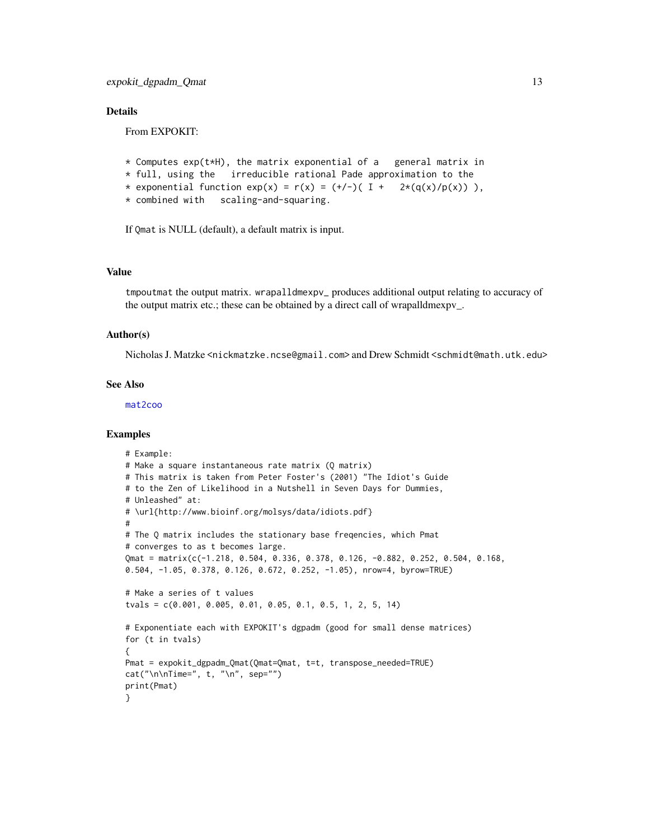### <span id="page-12-0"></span>**Details**

From EXPOKIT:

```
* Computes exp(t*H), the matrix exponential of a general matrix in
* full, using the irreducible rational Pade approximation to the
* exponential function exp(x) = r(x) = (+/-)( I + 2*(q(x)/p(x)) ),
* combined with scaling-and-squaring.
```
If Qmat is NULL (default), a default matrix is input.

#### Value

tmpoutmat the output matrix. wrapalldmexpv\_ produces additional output relating to accuracy of the output matrix etc.; these can be obtained by a direct call of wrapalldmexpv\_.

#### Author(s)

Nicholas J. Matzke <nickmatzke.ncse@gmail.com> and Drew Schmidt <schmidt@math.utk.edu>

### See Also

[mat2coo](#page-20-1)

#### Examples

```
# Example:
# Make a square instantaneous rate matrix (Q matrix)
# This matrix is taken from Peter Foster's (2001) "The Idiot's Guide
# to the Zen of Likelihood in a Nutshell in Seven Days for Dummies,
# Unleashed" at:
# \url{http://www.bioinf.org/molsys/data/idiots.pdf}
#
# The Q matrix includes the stationary base freqencies, which Pmat
# converges to as t becomes large.
Qmat = matrix(c(-1.218, 0.504, 0.336, 0.378, 0.126, -0.882, 0.252, 0.504, 0.168,
0.504, -1.05, 0.378, 0.126, 0.672, 0.252, -1.05), nrow=4, byrow=TRUE)
# Make a series of t values
tvals = c(0.001, 0.005, 0.01, 0.05, 0.1, 0.5, 1, 2, 5, 14)
# Exponentiate each with EXPOKIT's dgpadm (good for small dense matrices)
for (t in tvals)
{
Pmat = expokit_dgpadm_Qmat(Qmat=Qmat, t=t, transpose_needed=TRUE)
cat("\n\cdot\nTime=", t, "n", sep="")print(Pmat)
}
```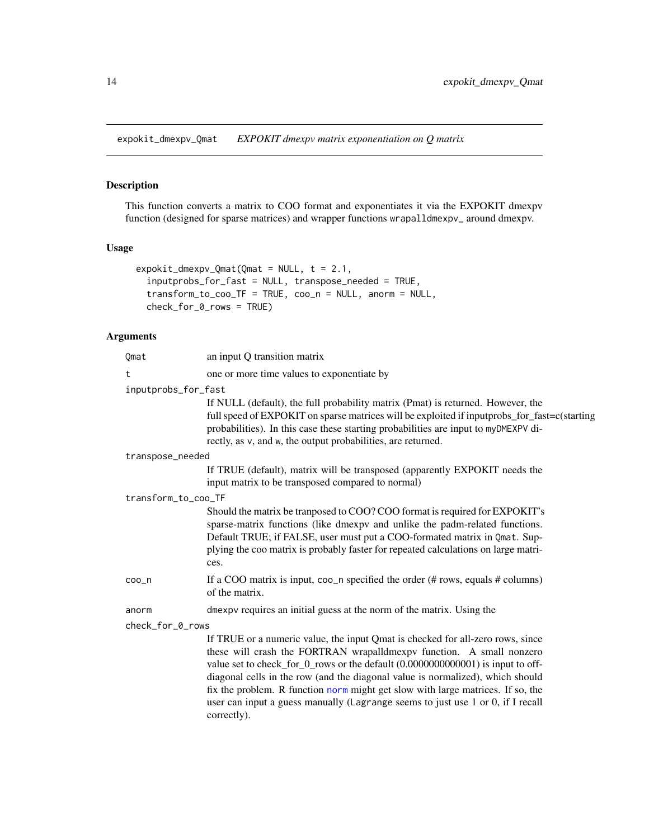<span id="page-13-1"></span><span id="page-13-0"></span>expokit\_dmexpv\_Qmat *EXPOKIT dmexpv matrix exponentiation on Q matrix*

### Description

This function converts a matrix to COO format and exponentiates it via the EXPOKIT dmexpv function (designed for sparse matrices) and wrapper functions wrapalldmexpv\_ around dmexpv.

### Usage

```
expokit_dmexpv_Qmat(Qmat = NULL, t = 2.1,
  inputprobs_for_fast = NULL, transpose_needed = TRUE,
  transform_to_coo_TF = TRUE, coo_n = NULL, anorm = NULL,
  check_for_0_rows = TRUE)
```
correctly).

### Arguments

| Qmat                | an input Q transition matrix                                                                                                                                                                                                                                                                                                                                                                                                                                                                      |
|---------------------|---------------------------------------------------------------------------------------------------------------------------------------------------------------------------------------------------------------------------------------------------------------------------------------------------------------------------------------------------------------------------------------------------------------------------------------------------------------------------------------------------|
| t                   | one or more time values to exponentiate by                                                                                                                                                                                                                                                                                                                                                                                                                                                        |
| inputprobs_for_fast |                                                                                                                                                                                                                                                                                                                                                                                                                                                                                                   |
|                     | If NULL (default), the full probability matrix (Pmat) is returned. However, the<br>full speed of EXPOKIT on sparse matrices will be exploited if inputprobs_for_fast=c(starting<br>probabilities). In this case these starting probabilities are input to myDMEXPV di-<br>rectly, as v, and w, the output probabilities, are returned.                                                                                                                                                            |
| transpose_needed    |                                                                                                                                                                                                                                                                                                                                                                                                                                                                                                   |
|                     | If TRUE (default), matrix will be transposed (apparently EXPOKIT needs the<br>input matrix to be transposed compared to normal)                                                                                                                                                                                                                                                                                                                                                                   |
| transform_to_coo_TF |                                                                                                                                                                                                                                                                                                                                                                                                                                                                                                   |
|                     | Should the matrix be transposed to COO? COO format is required for EXPOKIT's<br>sparse-matrix functions (like dmexpv and unlike the padm-related functions.<br>Default TRUE; if FALSE, user must put a COO-formated matrix in Qmat. Sup-<br>plying the coo matrix is probably faster for repeated calculations on large matri-<br>ces.                                                                                                                                                            |
| coo <sub>n</sub>    | If a COO matrix is input, $\cos_2 n$ specified the order (# rows, equals # columns)<br>of the matrix.                                                                                                                                                                                                                                                                                                                                                                                             |
| anorm               | dmexpv requires an initial guess at the norm of the matrix. Using the                                                                                                                                                                                                                                                                                                                                                                                                                             |
| check_for_0_rows    |                                                                                                                                                                                                                                                                                                                                                                                                                                                                                                   |
|                     | If TRUE or a numeric value, the input Qmat is checked for all-zero rows, since<br>these will crash the FORTRAN wrapalldmexpv function. A small nonzero<br>value set to check_for_0_rows or the default (0.0000000000001) is input to off-<br>diagonal cells in the row (and the diagonal value is normalized), which should<br>fix the problem. R function norm might get slow with large matrices. If so, the<br>user can input a guess manually (Lagrange seems to just use 1 or 0, if I recall |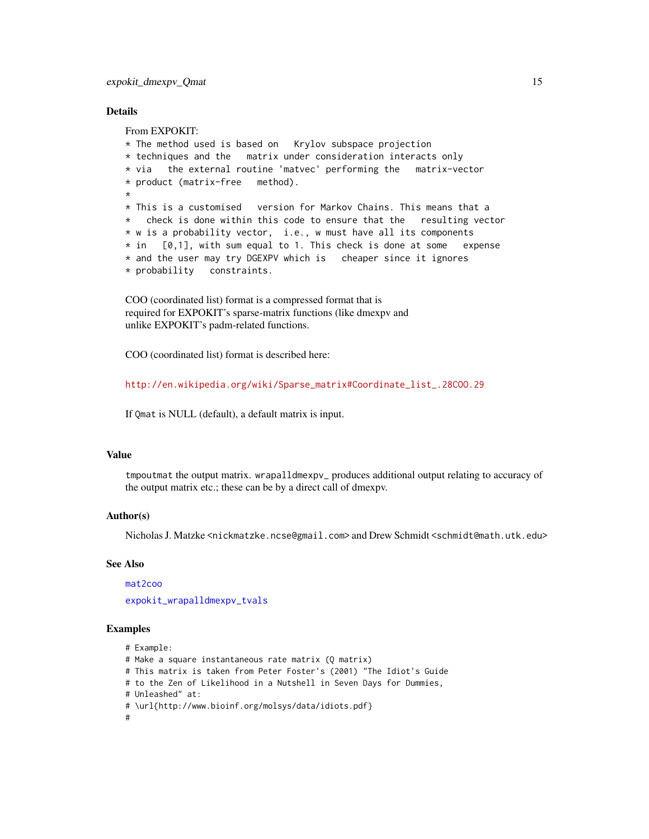### <span id="page-14-0"></span>**Details**

From EXPOKIT: \* The method used is based on Krylov subspace projection \* techniques and the matrix under consideration interacts only \* via the external routine 'matvec' performing the matrix-vector \* product (matrix-free method). \*  $*$  This is a customised version for Markov Chains. This means that a \* check is done within this code to ensure that the resulting vector \* w is a probability vector, i.e., w must have all its components  $*$  in  $[0,1]$ , with sum equal to 1. This check is done at some expense \* and the user may try DGEXPV which is cheaper since it ignores \* probability constraints.

COO (coordinated list) format is a compressed format that is required for EXPOKIT's sparse-matrix functions (like dmexpv and unlike EXPOKIT's padm-related functions.

COO (coordinated list) format is described here:

[http://en.wikipedia.org/wiki/Sparse\\_matrix#Coordinate\\_list\\_.28COO.29](http://en.wikipedia.org/wiki/Sparse_matrix#Coordinate_list_.28COO.29)

If Qmat is NULL (default), a default matrix is input.

### Value

tmpoutmat the output matrix. wrapalldmexpv\_ produces additional output relating to accuracy of the output matrix etc.; these can be by a direct call of dmexpv.

#### Author(s)

Nicholas J. Matzke <nickmatzke.ncse@gmail.com> and Drew Schmidt <schmidt@math.utk.edu>

#### See Also

[mat2coo](#page-20-1)

[expokit\\_wrapalldmexpv\\_tvals](#page-18-1)

#### Examples

- # Example:
- # Make a square instantaneous rate matrix (Q matrix)
- # This matrix is taken from Peter Foster's (2001) "The Idiot's Guide
- # to the Zen of Likelihood in a Nutshell in Seven Days for Dummies,
- # Unleashed" at:
- # \url{http://www.bioinf.org/molsys/data/idiots.pdf}
- #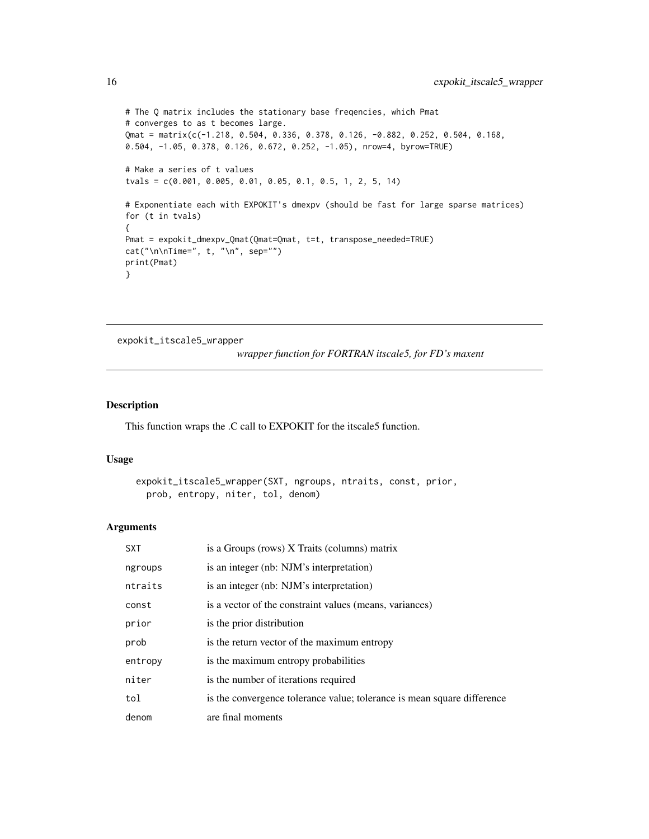```
# The Q matrix includes the stationary base freqencies, which Pmat
# converges to as t becomes large.
Qmat = matrix(c(-1.218, 0.504, 0.336, 0.378, 0.126, -0.882, 0.252, 0.504, 0.168,
0.504, -1.05, 0.378, 0.126, 0.672, 0.252, -1.05), nrow=4, byrow=TRUE)
# Make a series of t values
tvals = c(0.001, 0.005, 0.01, 0.05, 0.1, 0.5, 1, 2, 5, 14)
# Exponentiate each with EXPOKIT's dmexpv (should be fast for large sparse matrices)
for (t in tvals)
{
Pmat = expokit_dmexpv_Qmat(Qmat=Qmat, t=t, transpose_needed=TRUE)
cat("\\n\\nTime=", t, "\\n", sep="")print(Pmat)
}
```
expokit\_itscale5\_wrapper

*wrapper function for FORTRAN itscale5, for FD's maxent*

#### Description

This function wraps the .C call to EXPOKIT for the itscale5 function.

### Usage

```
expokit_itscale5_wrapper(SXT, ngroups, ntraits, const, prior,
 prob, entropy, niter, tol, denom)
```
#### Arguments

| <b>SXT</b> | is a Groups (rows) X Traits (columns) matrix                            |
|------------|-------------------------------------------------------------------------|
| ngroups    | is an integer (nb: NJM's interpretation)                                |
| ntraits    | is an integer (nb: NJM's interpretation)                                |
| const      | is a vector of the constraint values (means, variances)                 |
| prior      | is the prior distribution                                               |
| prob       | is the return vector of the maximum entropy                             |
| entropy    | is the maximum entropy probabilities                                    |
| niter      | is the number of iterations required                                    |
| tol        | is the convergence tolerance value; tolerance is mean square difference |
| denom      | are final moments                                                       |

<span id="page-15-0"></span>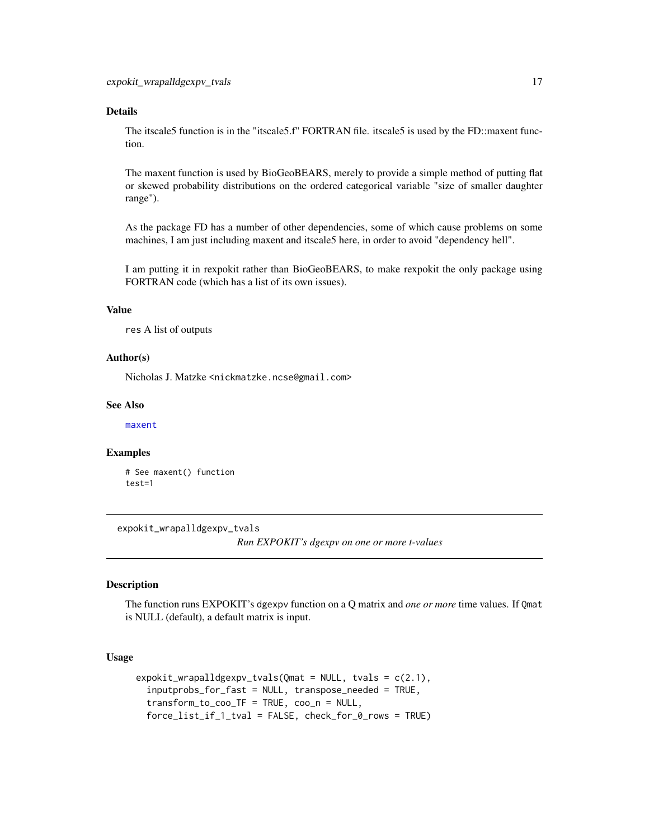### <span id="page-16-0"></span>Details

The itscale5 function is in the "itscale5.f" FORTRAN file. itscale5 is used by the FD::maxent function.

The maxent function is used by BioGeoBEARS, merely to provide a simple method of putting flat or skewed probability distributions on the ordered categorical variable "size of smaller daughter range").

As the package FD has a number of other dependencies, some of which cause problems on some machines, I am just including maxent and itscale5 here, in order to avoid "dependency hell".

I am putting it in rexpokit rather than BioGeoBEARS, to make rexpokit the only package using FORTRAN code (which has a list of its own issues).

### Value

res A list of outputs

#### Author(s)

Nicholas J. Matzke <nickmatzke.ncse@gmail.com>

#### See Also

[maxent](#page-22-1)

### Examples

# See maxent() function test=1

<span id="page-16-1"></span>expokit\_wrapalldgexpv\_tvals

*Run EXPOKIT's dgexpv on one or more t-values*

#### Description

The function runs EXPOKIT's dgexpv function on a Q matrix and *one or more* time values. If Qmat is NULL (default), a default matrix is input.

### Usage

```
expokit_wrapall degexpv_tvals(Qmat = NULL, tvals = c(2.1),inputprobs_for_fast = NULL, transpose_needed = TRUE,
 transform_to_coo_TF = TRUE, coo_n = NULL,
 force_list_if_1_tval = FALSE, check_for_0_rows = TRUE)
```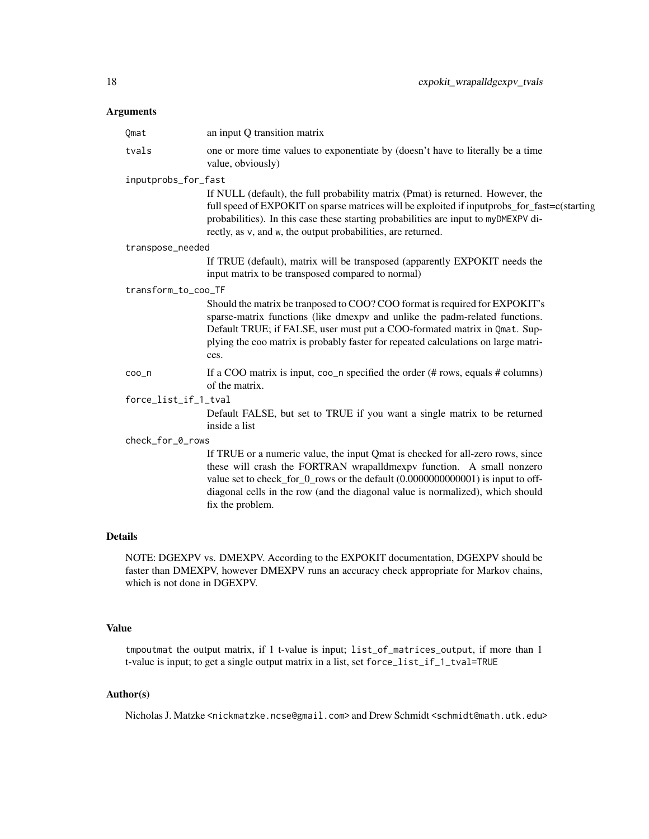### Arguments

| Qmat                 | an input Q transition matrix                                                                                                                                                                                                                                                                                                                    |
|----------------------|-------------------------------------------------------------------------------------------------------------------------------------------------------------------------------------------------------------------------------------------------------------------------------------------------------------------------------------------------|
| tvals                | one or more time values to exponentiate by (doesn't have to literally be a time<br>value, obviously)                                                                                                                                                                                                                                            |
| inputprobs_for_fast  |                                                                                                                                                                                                                                                                                                                                                 |
|                      | If NULL (default), the full probability matrix (Pmat) is returned. However, the<br>full speed of EXPOKIT on sparse matrices will be exploited if inputprobs_for_fast=c(starting<br>probabilities). In this case these starting probabilities are input to myDMEXPV di-<br>rectly, as v, and w, the output probabilities, are returned.          |
| transpose_needed     |                                                                                                                                                                                                                                                                                                                                                 |
|                      | If TRUE (default), matrix will be transposed (apparently EXPOKIT needs the<br>input matrix to be transposed compared to normal)                                                                                                                                                                                                                 |
| transform_to_coo_TF  |                                                                                                                                                                                                                                                                                                                                                 |
|                      | Should the matrix be transposed to COO? COO format is required for EXPOKIT's<br>sparse-matrix functions (like dmexpv and unlike the padm-related functions.<br>Default TRUE; if FALSE, user must put a COO-formated matrix in Qmat. Sup-<br>plying the coo matrix is probably faster for repeated calculations on large matri-<br>ces.          |
| coo <sub>n</sub>     | If a COO matrix is input, $\cos_2 n$ specified the order (# rows, equals # columns)<br>of the matrix.                                                                                                                                                                                                                                           |
| force_list_if_1_tval |                                                                                                                                                                                                                                                                                                                                                 |
|                      | Default FALSE, but set to TRUE if you want a single matrix to be returned<br>inside a list                                                                                                                                                                                                                                                      |
| check_for_0_rows     |                                                                                                                                                                                                                                                                                                                                                 |
|                      | If TRUE or a numeric value, the input Qmat is checked for all-zero rows, since<br>these will crash the FORTRAN wrapalldmexpy function. A small nonzero<br>value set to check_for_0_rows or the default (0.0000000000001) is input to off-<br>diagonal cells in the row (and the diagonal value is normalized), which should<br>fix the problem. |

### Details

NOTE: DGEXPV vs. DMEXPV. According to the EXPOKIT documentation, DGEXPV should be faster than DMEXPV, however DMEXPV runs an accuracy check appropriate for Markov chains, which is not done in DGEXPV.

### Value

tmpoutmat the output matrix, if 1 t-value is input; list\_of\_matrices\_output, if more than 1 t-value is input; to get a single output matrix in a list, set force\_list\_if\_1\_tval=TRUE

### Author(s)

Nicholas J. Matzke <nickmatzke.ncse@gmail.com> and Drew Schmidt <schmidt@math.utk.edu>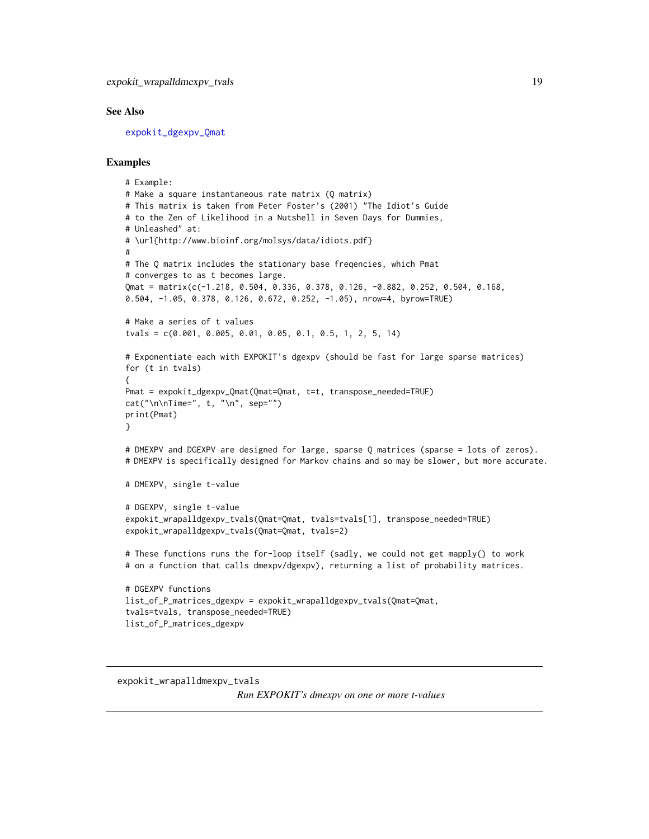#### <span id="page-18-0"></span>See Also

[expokit\\_dgexpv\\_Qmat](#page-8-1)

### Examples

```
# Example:
# Make a square instantaneous rate matrix (Q matrix)
# This matrix is taken from Peter Foster's (2001) "The Idiot's Guide
# to the Zen of Likelihood in a Nutshell in Seven Days for Dummies,
# Unleashed" at:
# \url{http://www.bioinf.org/molsys/data/idiots.pdf}
#
# The Q matrix includes the stationary base freqencies, which Pmat
# converges to as t becomes large.
Qmat = matrix(c(-1.218, 0.504, 0.336, 0.378, 0.126, -0.882, 0.252, 0.504, 0.168,
0.504, -1.05, 0.378, 0.126, 0.672, 0.252, -1.05), nrow=4, byrow=TRUE)
# Make a series of t values
tvals = c(0.001, 0.005, 0.01, 0.05, 0.1, 0.5, 1, 2, 5, 14)
# Exponentiate each with EXPOKIT's dgexpv (should be fast for large sparse matrices)
for (t in tvals)
{
Pmat = expokit_dgexpv_Qmat(Qmat=Qmat, t=t, transpose_needed=TRUE)
cat("\\n\\Time=", t, "\\n", sep="")print(Pmat)
}
# DMEXPV and DGEXPV are designed for large, sparse Q matrices (sparse = lots of zeros).
# DMEXPV is specifically designed for Markov chains and so may be slower, but more accurate.
# DMEXPV, single t-value
# DGEXPV, single t-value
expokit_wrapalldgexpv_tvals(Qmat=Qmat, tvals=tvals[1], transpose_needed=TRUE)
expokit_wrapalldgexpv_tvals(Qmat=Qmat, tvals=2)
# These functions runs the for-loop itself (sadly, we could not get mapply() to work
# on a function that calls dmexpv/dgexpv), returning a list of probability matrices.
# DGEXPV functions
list_of_P_matrices_dgexpv = expokit_wrapalldgexpv_tvals(Qmat=Qmat,
tvals=tvals, transpose_needed=TRUE)
list_of_P_matrices_dgexpv
```

```
expokit_wrapalldmexpv_tvals
                       Run EXPOKIT's dmexpv on one or more t-values
```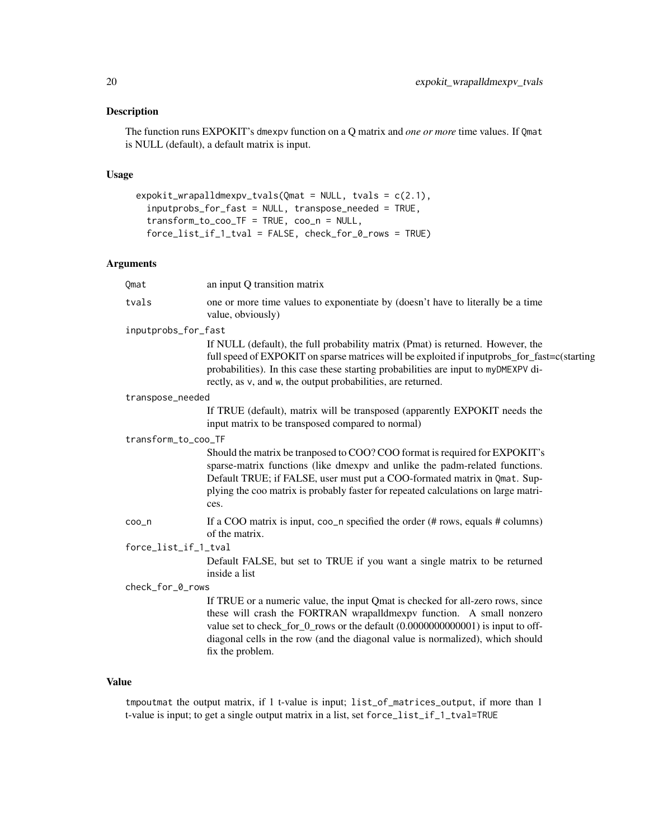### Description

The function runs EXPOKIT's dmexpv function on a Q matrix and *one or more* time values. If Qmat is NULL (default), a default matrix is input.

### Usage

```
expokit_wrapalldmexpv_tvals(Qmat = NULL, tvals = c(2.1),
 inputprobs_for_fast = NULL, transpose_needed = TRUE,
 transform_to_coo_TF = TRUE, coo_n = NULL,
 force_list_if_1_tval = FALSE, check_for_0_rows = TRUE)
```
### Arguments

| Qmat                 | an input Q transition matrix                                                                                                                                                                                                                                                                                                                    |
|----------------------|-------------------------------------------------------------------------------------------------------------------------------------------------------------------------------------------------------------------------------------------------------------------------------------------------------------------------------------------------|
| tvals                | one or more time values to exponentiate by (doesn't have to literally be a time<br>value, obviously)                                                                                                                                                                                                                                            |
| inputprobs_for_fast  |                                                                                                                                                                                                                                                                                                                                                 |
|                      | If NULL (default), the full probability matrix (Pmat) is returned. However, the<br>full speed of EXPOKIT on sparse matrices will be exploited if inputprobs_for_fast=c(starting<br>probabilities). In this case these starting probabilities are input to myDMEXPV di-<br>rectly, as v, and w, the output probabilities, are returned.          |
| transpose_needed     |                                                                                                                                                                                                                                                                                                                                                 |
|                      | If TRUE (default), matrix will be transposed (apparently EXPOKIT needs the<br>input matrix to be transposed compared to normal)                                                                                                                                                                                                                 |
| transform_to_coo_TF  |                                                                                                                                                                                                                                                                                                                                                 |
|                      | Should the matrix be transposed to COO? COO format is required for EXPOKIT's<br>sparse-matrix functions (like dmexpv and unlike the padm-related functions.<br>Default TRUE; if FALSE, user must put a COO-formated matrix in Qmat. Sup-<br>plying the coo matrix is probably faster for repeated calculations on large matri-<br>ces.          |
| coo <sub>n</sub>     | If a COO matrix is input, $\cos_2 n$ specified the order (# rows, equals # columns)<br>of the matrix.                                                                                                                                                                                                                                           |
| force_list_if_1_tval |                                                                                                                                                                                                                                                                                                                                                 |
|                      | Default FALSE, but set to TRUE if you want a single matrix to be returned<br>inside a list                                                                                                                                                                                                                                                      |
| check_for_0_rows     |                                                                                                                                                                                                                                                                                                                                                 |
|                      | If TRUE or a numeric value, the input Qmat is checked for all-zero rows, since<br>these will crash the FORTRAN wrapalldmexpy function. A small nonzero<br>value set to check_for_0_rows or the default (0.0000000000001) is input to off-<br>diagonal cells in the row (and the diagonal value is normalized), which should<br>fix the problem. |

## Value

tmpoutmat the output matrix, if 1 t-value is input; list\_of\_matrices\_output, if more than 1 t-value is input; to get a single output matrix in a list, set force\_list\_if\_1\_tval=TRUE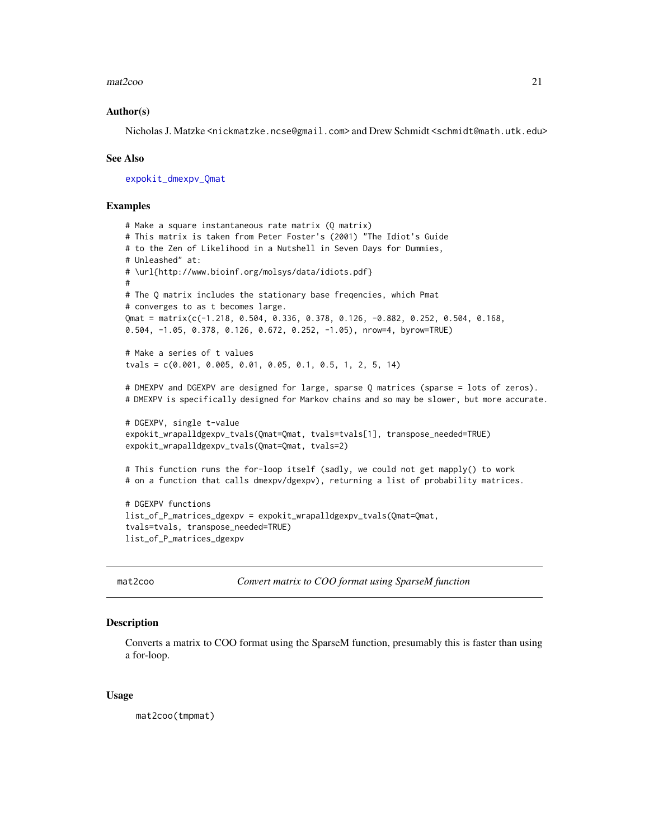#### <span id="page-20-0"></span> $\text{mat2}$ coo 21

#### Author(s)

Nicholas J. Matzke <nickmatzke.ncse@gmail.com> and Drew Schmidt <schmidt@math.utk.edu>

#### See Also

[expokit\\_dmexpv\\_Qmat](#page-13-1)

#### Examples

```
# Make a square instantaneous rate matrix (Q matrix)
# This matrix is taken from Peter Foster's (2001) "The Idiot's Guide
# to the Zen of Likelihood in a Nutshell in Seven Days for Dummies,
# Unleashed" at:
# \url{http://www.bioinf.org/molsys/data/idiots.pdf}
#
# The Q matrix includes the stationary base freqencies, which Pmat
# converges to as t becomes large.
Qmat = matrix(c(-1.218, 0.504, 0.336, 0.378, 0.126, -0.882, 0.252, 0.504, 0.168,
0.504, -1.05, 0.378, 0.126, 0.672, 0.252, -1.05), nrow=4, byrow=TRUE)
# Make a series of t values
tvals = c(0.001, 0.005, 0.01, 0.05, 0.1, 0.5, 1, 2, 5, 14)
# DMEXPV and DGEXPV are designed for large, sparse Q matrices (sparse = lots of zeros).
# DMEXPV is specifically designed for Markov chains and so may be slower, but more accurate.
# DGEXPV, single t-value
expokit_wrapalldgexpv_tvals(Qmat=Qmat, tvals=tvals[1], transpose_needed=TRUE)
expokit_wrapalldgexpv_tvals(Qmat=Qmat, tvals=2)
# This function runs the for-loop itself (sadly, we could not get mapply() to work
# on a function that calls dmexpv/dgexpv), returning a list of probability matrices.
# DGEXPV functions
list_of_P_matrices_dgexpv = expokit_wrapalldgexpv_tvals(Qmat=Qmat,
tvals=tvals, transpose_needed=TRUE)
list_of_P_matrices_dgexpv
```
<span id="page-20-1"></span>

mat2coo *Convert matrix to COO format using SparseM function*

#### Description

Converts a matrix to COO format using the SparseM function, presumably this is faster than using a for-loop.

#### Usage

mat2coo(tmpmat)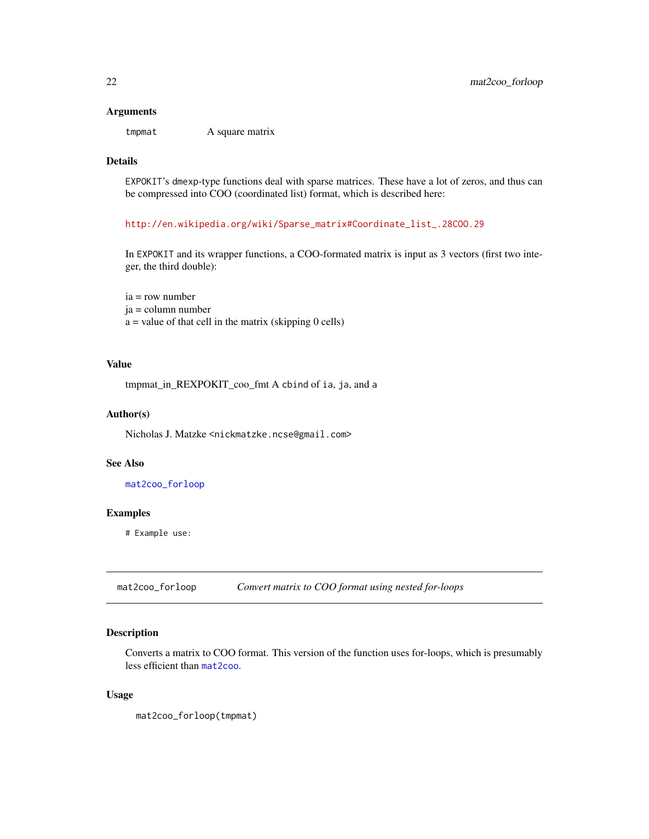#### <span id="page-21-0"></span>Arguments

tmpmat A square matrix

### Details

EXPOKIT's dmexp-type functions deal with sparse matrices. These have a lot of zeros, and thus can be compressed into COO (coordinated list) format, which is described here:

[http://en.wikipedia.org/wiki/Sparse\\_matrix#Coordinate\\_list\\_.28COO.29](http://en.wikipedia.org/wiki/Sparse_matrix#Coordinate_list_.28COO.29)

In EXPOKIT and its wrapper functions, a COO-formated matrix is input as 3 vectors (first two integer, the third double):

ia = row number ja = column number  $a =$  value of that cell in the matrix (skipping 0 cells)

### Value

tmpmat\_in\_REXPOKIT\_coo\_fmt A cbind of ia, ja, and a

#### Author(s)

Nicholas J. Matzke <nickmatzke.ncse@gmail.com>

#### See Also

[mat2coo\\_forloop](#page-21-1)

### Examples

# Example use:

<span id="page-21-1"></span>mat2coo\_forloop *Convert matrix to COO format using nested for-loops*

### Description

Converts a matrix to COO format. This version of the function uses for-loops, which is presumably less efficient than [mat2coo](#page-20-1).

### Usage

mat2coo\_forloop(tmpmat)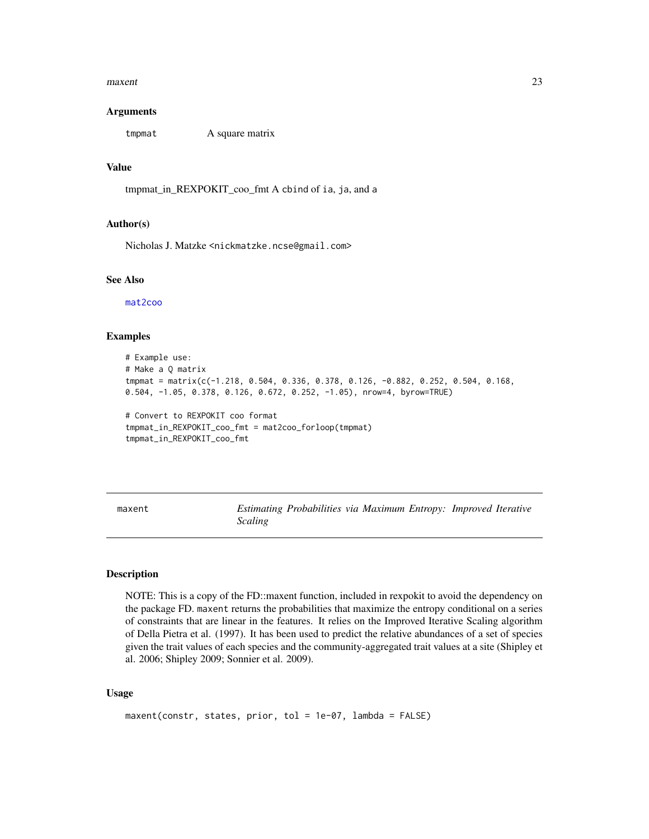#### <span id="page-22-0"></span> $maxent$  23

#### Arguments

tmpmat A square matrix

#### Value

tmpmat\_in\_REXPOKIT\_coo\_fmt A cbind of ia, ja, and a

#### Author(s)

Nicholas J. Matzke <nickmatzke.ncse@gmail.com>

### See Also

[mat2coo](#page-20-1)

#### Examples

```
# Example use:
# Make a Q matrix
tmpmat = matrix(c(-1.218, 0.504, 0.336, 0.378, 0.126, -0.882, 0.252, 0.504, 0.168,
0.504, -1.05, 0.378, 0.126, 0.672, 0.252, -1.05), nrow=4, byrow=TRUE)
# Convert to REXPOKIT coo format
tmpmat_in_REXPOKIT_coo_fmt = mat2coo_forloop(tmpmat)
tmpmat_in_REXPOKIT_coo_fmt
```
<span id="page-22-1"></span>maxent *Estimating Probabilities via Maximum Entropy: Improved Iterative Scaling*

#### Description

NOTE: This is a copy of the FD::maxent function, included in rexpokit to avoid the dependency on the package FD. maxent returns the probabilities that maximize the entropy conditional on a series of constraints that are linear in the features. It relies on the Improved Iterative Scaling algorithm of Della Pietra et al. (1997). It has been used to predict the relative abundances of a set of species given the trait values of each species and the community-aggregated trait values at a site (Shipley et al. 2006; Shipley 2009; Sonnier et al. 2009).

#### Usage

```
maxent(constr, states, prior, tol = 1e-07, lambda = FALSE)
```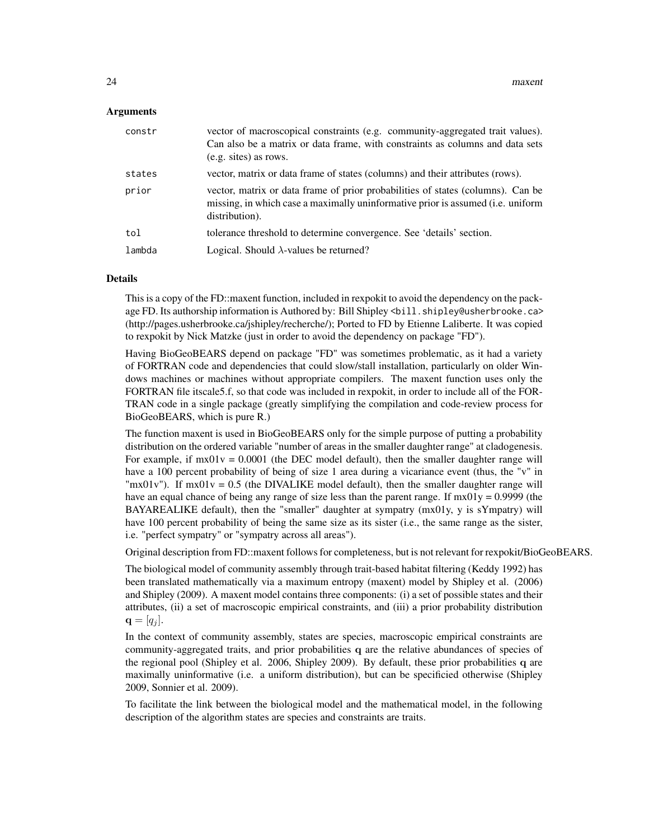#### Arguments

| constr | vector of macroscopical constraints (e.g. community-aggregated trait values).<br>Can also be a matrix or data frame, with constraints as columns and data sets<br>(e.g. sites) as rows. |
|--------|-----------------------------------------------------------------------------------------------------------------------------------------------------------------------------------------|
| states | vector, matrix or data frame of states (columns) and their attributes (rows).                                                                                                           |
| prior  | vector, matrix or data frame of prior probabilities of states (columns). Can be<br>missing, in which case a maximally uninformative prior is assumed (i.e. uniform<br>distribution).    |
| tol    | tolerance threshold to determine convergence. See 'details' section.                                                                                                                    |
| lambda | Logical. Should $\lambda$ -values be returned?                                                                                                                                          |

### Details

This is a copy of the FD::maxent function, included in rexpokit to avoid the dependency on the package FD. Its authorship information is Authored by: Bill Shipley <bill.shipley@usherbrooke.ca> (http://pages.usherbrooke.ca/jshipley/recherche/); Ported to FD by Etienne Laliberte. It was copied to rexpokit by Nick Matzke (just in order to avoid the dependency on package "FD").

Having BioGeoBEARS depend on package "FD" was sometimes problematic, as it had a variety of FORTRAN code and dependencies that could slow/stall installation, particularly on older Windows machines or machines without appropriate compilers. The maxent function uses only the FORTRAN file itscale5.f, so that code was included in rexpokit, in order to include all of the FOR-TRAN code in a single package (greatly simplifying the compilation and code-review process for BioGeoBEARS, which is pure R.)

The function maxent is used in BioGeoBEARS only for the simple purpose of putting a probability distribution on the ordered variable "number of areas in the smaller daughter range" at cladogenesis. For example, if  $mx01v = 0.0001$  (the DEC model default), then the smaller daughter range will have a 100 percent probability of being of size 1 area during a vicariance event (thus, the "v" in " $mx01v$ "). If  $mx01v = 0.5$  (the DIVALIKE model default), then the smaller daughter range will have an equal chance of being any range of size less than the parent range. If  $mx01y = 0.9999$  (the BAYAREALIKE default), then the "smaller" daughter at sympatry (mx01y, y is sYmpatry) will have 100 percent probability of being the same size as its sister (i.e., the same range as the sister, i.e. "perfect sympatry" or "sympatry across all areas").

Original description from FD::maxent follows for completeness, but is not relevant for rexpokit/BioGeoBEARS.

The biological model of community assembly through trait-based habitat filtering (Keddy 1992) has been translated mathematically via a maximum entropy (maxent) model by Shipley et al. (2006) and Shipley (2009). A maxent model contains three components: (i) a set of possible states and their attributes, (ii) a set of macroscopic empirical constraints, and (iii) a prior probability distribution  $\mathbf{q} = [q_i].$ 

In the context of community assembly, states are species, macroscopic empirical constraints are community-aggregated traits, and prior probabilities q are the relative abundances of species of the regional pool (Shipley et al. 2006, Shipley 2009). By default, these prior probabilities q are maximally uninformative (i.e. a uniform distribution), but can be specificied otherwise (Shipley 2009, Sonnier et al. 2009).

To facilitate the link between the biological model and the mathematical model, in the following description of the algorithm states are species and constraints are traits.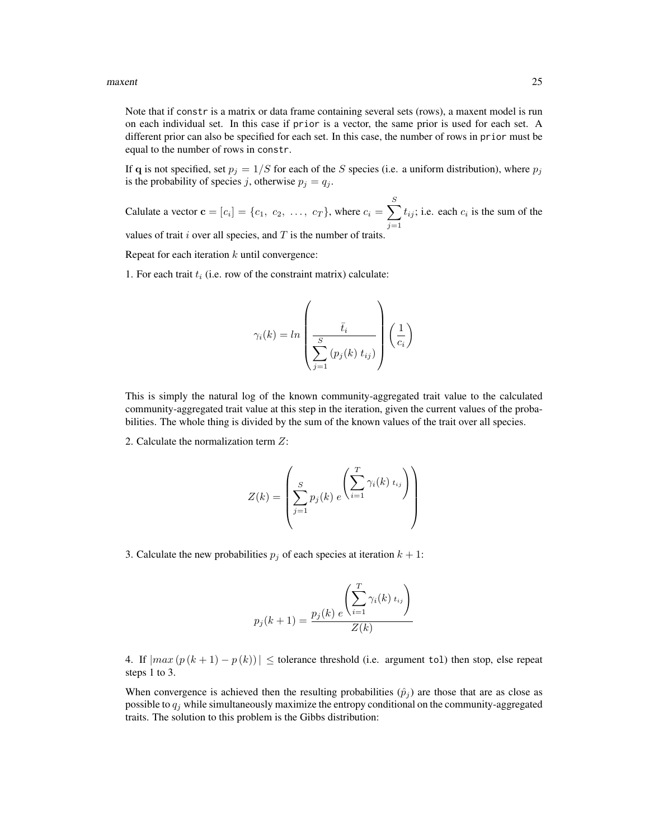#### $maxent$  25

Note that if constr is a matrix or data frame containing several sets (rows), a maxent model is run on each individual set. In this case if prior is a vector, the same prior is used for each set. A different prior can also be specified for each set. In this case, the number of rows in prior must be equal to the number of rows in constr.

If q is not specified, set  $p_j = 1/S$  for each of the S species (i.e. a uniform distribution), where  $p_j$ is the probability of species j, otherwise  $p_j = q_j$ .

Calulate a vector  $\mathbf{c} = [c_i] = \{c_1, c_2, \dots, c_T\}$ , where  $c_i = \sum_{i=1}^{S}$  $j=1$  $t_{ij}$ ; i.e. each  $c_i$  is the sum of the values of trait  $i$  over all species, and  $T$  is the number of traits.

Repeat for each iteration  $k$  until convergence:

1. For each trait  $t_i$  (i.e. row of the constraint matrix) calculate:

$$
\gamma_i(k) = \ln \left( \frac{\bar{t}_i}{\sum_{j=1}^S \left( p_j(k) \ t_{ij} \right)} \right) \left( \frac{1}{c_i} \right)
$$

This is simply the natural log of the known community-aggregated trait value to the calculated community-aggregated trait value at this step in the iteration, given the current values of the probabilities. The whole thing is divided by the sum of the known values of the trait over all species.

2. Calculate the normalization term Z:

$$
Z(k) = \left(\sum_{j=1}^{S} p_j(k) e^{-\left(\sum_{i=1}^{T} \gamma_i(k) t_{ij}\right)}\right)
$$

3. Calculate the new probabilities  $p_i$  of each species at iteration  $k + 1$ :

$$
p_j(k+1) = \frac{p_j(k) e^{\left(\sum_{i=1}^T \gamma_i(k) t_{ij}\right)}}{Z(k)}
$$

4. If  $|max (p (k+1) - p (k))| \le$  tolerance threshold (i.e. argument tol) then stop, else repeat steps 1 to 3.

When convergence is achieved then the resulting probabilities  $(\hat{p}_j)$  are those that are as close as possible to  $q_i$  while simultaneously maximize the entropy conditional on the community-aggregated traits. The solution to this problem is the Gibbs distribution: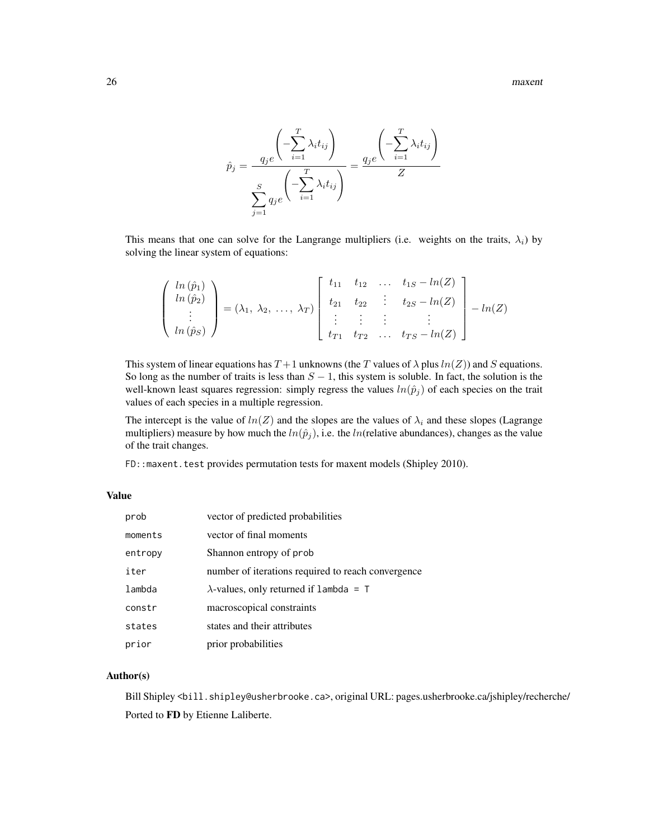26 maxembra 2008 maxematic extension of the state of the state of the state of the state of the state of the state of the state of the state of the state of the state of the state of the state of the state of the state of

$$
\hat{p}_j = \frac{q_j e^{-\sum_{i=1}^T \lambda_i t_{ij}}}{\sum_{j=1}^S q_j e^{-\sum_{i=1}^T \lambda_i t_{ij}}} = \frac{q_j e^{-\sum_{i=1}^T \lambda_i t_{ij}}}{Z}
$$

This means that one can solve for the Langrange multipliers (i.e. weights on the traits,  $\lambda_i$ ) by solving the linear system of equations:

$$
\begin{pmatrix}\n\ln(\hat{p}_1) \\
\ln(\hat{p}_2) \\
\vdots \\
\ln(\hat{p}_S)\n\end{pmatrix} = (\lambda_1, \lambda_2, \ldots, \lambda_T) \begin{bmatrix}\nt_{11} & t_{12} & \ldots & t_{1S} - \ln(Z) \\
t_{21} & t_{22} & \vdots & t_{2S} - \ln(Z) \\
\vdots & \vdots & \vdots & \vdots \\
t_{T1} & t_{T2} & \ldots & t_{TS} - \ln(Z)\n\end{bmatrix} - \ln(Z)
$$

This system of linear equations has  $T+1$  unknowns (the T values of  $\lambda$  plus  $ln(Z)$ ) and S equations. So long as the number of traits is less than  $S - 1$ , this system is soluble. In fact, the solution is the well-known least squares regression: simply regress the values  $ln(\hat{p}_j)$  of each species on the trait values of each species in a multiple regression.

The intercept is the value of  $ln(Z)$  and the slopes are the values of  $\lambda_i$  and these slopes (Lagrange multipliers) measure by how much the  $ln(\hat{p}_i)$ , i.e. the ln(relative abundances), changes as the value of the trait changes.

FD:: maxent.test provides permutation tests for maxent models (Shipley 2010).

### Value

| prob    | vector of predicted probabilities                  |
|---------|----------------------------------------------------|
| moments | vector of final moments                            |
| entropy | Shannon entropy of prob.                           |
| iter    | number of iterations required to reach convergence |
| lambda  | $\lambda$ -values, only returned if lambda = T     |
| constr  | macroscopical constraints                          |
| states  | states and their attributes                        |
| prior   | prior probabilities                                |

### Author(s)

Bill Shipley <br/> \till.shipley@usherbrooke.ca>, original URL: pages.usherbrooke.ca/jshipley/recherche/ Ported to FD by Etienne Laliberte.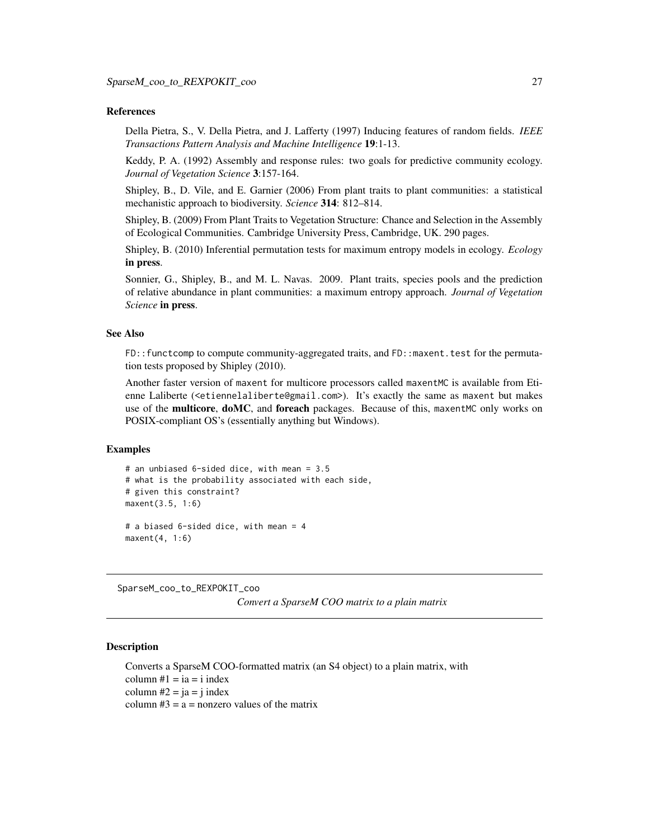#### <span id="page-26-0"></span>References

Della Pietra, S., V. Della Pietra, and J. Lafferty (1997) Inducing features of random fields. *IEEE Transactions Pattern Analysis and Machine Intelligence* 19:1-13.

Keddy, P. A. (1992) Assembly and response rules: two goals for predictive community ecology. *Journal of Vegetation Science* 3:157-164.

Shipley, B., D. Vile, and E. Garnier (2006) From plant traits to plant communities: a statistical mechanistic approach to biodiversity. *Science* 314: 812–814.

Shipley, B. (2009) From Plant Traits to Vegetation Structure: Chance and Selection in the Assembly of Ecological Communities. Cambridge University Press, Cambridge, UK. 290 pages.

Shipley, B. (2010) Inferential permutation tests for maximum entropy models in ecology. *Ecology* in press.

Sonnier, G., Shipley, B., and M. L. Navas. 2009. Plant traits, species pools and the prediction of relative abundance in plant communities: a maximum entropy approach. *Journal of Vegetation Science* in press.

### See Also

FD::functcomp to compute community-aggregated traits, and FD::maxent.test for the permutation tests proposed by Shipley (2010).

Another faster version of maxent for multicore processors called maxentMC is available from Etienne Laliberte (<etiennelaliberte@gmail.com>). It's exactly the same as maxent but makes use of the multicore, doMC, and foreach packages. Because of this, maxentMC only works on POSIX-compliant OS's (essentially anything but Windows).

#### Examples

```
# an unbiased 6-sided dice, with mean = 3.5
# what is the probability associated with each side,
# given this constraint?
maxent(3.5, 1:6)
# a biased 6-sided dice, with mean = 4
maxent(4, 1:6)
```
SparseM\_coo\_to\_REXPOKIT\_coo

*Convert a SparseM COO matrix to a plain matrix*

#### Description

Converts a SparseM COO-formatted matrix (an S4 object) to a plain matrix, with column  $#1 = ia = i$  index column  $#2 = ja = j$  index column  $#3 = a =$  nonzero values of the matrix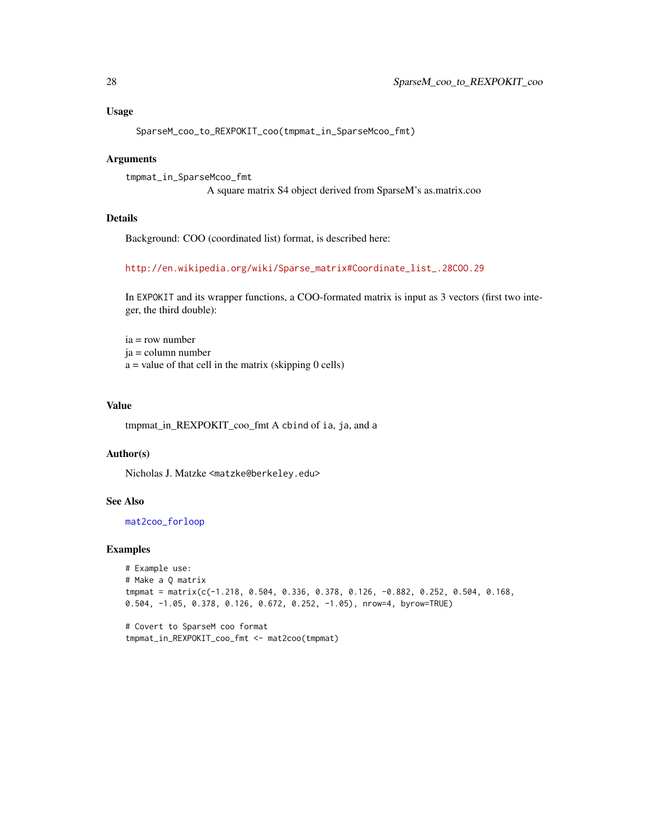### <span id="page-27-0"></span>Usage

```
SparseM_coo_to_REXPOKIT_coo(tmpmat_in_SparseMcoo_fmt)
```
### Arguments

```
tmpmat_in_SparseMcoo_fmt
                 A square matrix S4 object derived from SparseM's as.matrix.coo
```
#### Details

Background: COO (coordinated list) format, is described here:

[http://en.wikipedia.org/wiki/Sparse\\_matrix#Coordinate\\_list\\_.28COO.29](http://en.wikipedia.org/wiki/Sparse_matrix#Coordinate_list_.28COO.29)

In EXPOKIT and its wrapper functions, a COO-formated matrix is input as 3 vectors (first two integer, the third double):

ia = row number ja = column number  $a =$  value of that cell in the matrix (skipping 0 cells)

#### Value

tmpmat\_in\_REXPOKIT\_coo\_fmt A cbind of ia, ja, and a

### Author(s)

Nicholas J. Matzke <matzke@berkeley.edu>

### See Also

[mat2coo\\_forloop](#page-21-1)

#### Examples

```
# Example use:
# Make a Q matrix
tmpmat = matrix(c(-1.218, 0.504, 0.336, 0.378, 0.126, -0.882, 0.252, 0.504, 0.168,
0.504, -1.05, 0.378, 0.126, 0.672, 0.252, -1.05), nrow=4, byrow=TRUE)
```

```
# Covert to SparseM coo format
tmpmat_in_REXPOKIT_coo_fmt <- mat2coo(tmpmat)
```